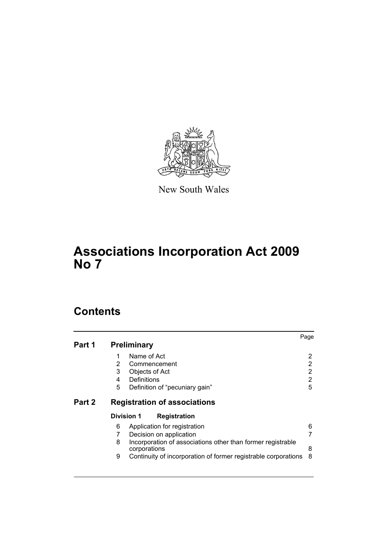

New South Wales

# **Associations Incorporation Act 2009 No 7**

# **Contents**

|        |                          |                                               |                                                                | Page |             |
|--------|--------------------------|-----------------------------------------------|----------------------------------------------------------------|------|-------------|
| Part 1 |                          | <b>Preliminary</b>                            |                                                                |      |             |
|        | 1<br>$\overline{2}$<br>3 | Name of Act<br>Commencement<br>Objects of Act |                                                                |      | 2<br>2<br>2 |
|        | 4                        | Definitions                                   |                                                                |      | 2           |
|        | 5                        |                                               | Definition of "pecuniary gain"                                 |      | 5           |
| Part 2 |                          |                                               | <b>Registration of associations</b>                            |      |             |
|        | <b>Division 1</b>        |                                               | <b>Registration</b>                                            |      |             |
|        | 6                        |                                               | Application for registration                                   |      | 6           |
|        |                          |                                               | Decision on application                                        |      |             |
|        | 8                        | corporations                                  | Incorporation of associations other than former registrable    |      | 8           |
|        | 9                        |                                               | Continuity of incorporation of former registrable corporations |      | 8           |
|        |                          |                                               |                                                                |      |             |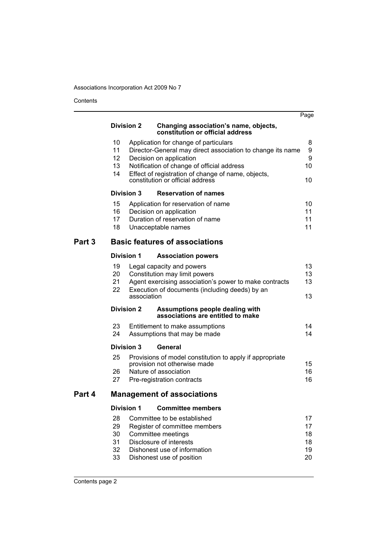Contents

| <b>Division 2</b><br>Changing association's name, objects,<br>constitution or official address<br>10<br>Application for change of particulars<br>11<br>Director-General may direct association to change its name | 8<br>9<br>9<br>10                |
|-------------------------------------------------------------------------------------------------------------------------------------------------------------------------------------------------------------------|----------------------------------|
|                                                                                                                                                                                                                   |                                  |
| Decision on application<br>12<br>13<br>Notification of change of official address<br>Effect of registration of change of name, objects,<br>14<br>constitution or official address                                 | 10                               |
| <b>Division 3</b><br><b>Reservation of names</b>                                                                                                                                                                  |                                  |
| 15<br>Application for reservation of name<br>16<br>Decision on application<br>Duration of reservation of name<br>17<br>18<br>Unacceptable names                                                                   | 10<br>11<br>11<br>11             |
| <b>Basic features of associations</b><br>Part 3                                                                                                                                                                   |                                  |
| <b>Division 1</b><br><b>Association powers</b>                                                                                                                                                                    |                                  |
| 19<br>Legal capacity and powers<br>20<br>Constitution may limit powers<br>Agent exercising association's power to make contracts<br>21<br>22<br>Execution of documents (including deeds) by an<br>association     | 13<br>13<br>13<br>13             |
| Assumptions people dealing with<br><b>Division 2</b><br>associations are entitled to make                                                                                                                         |                                  |
| 23<br>Entitlement to make assumptions<br>24<br>Assumptions that may be made                                                                                                                                       | 14<br>14                         |
| <b>Division 3</b><br>General                                                                                                                                                                                      |                                  |
| 25<br>Provisions of model constitution to apply if appropriate<br>provision not otherwise made<br>Nature of association<br>26<br>27<br>Pre-registration contracts                                                 | 15<br>16<br>16                   |
| Part 4<br><b>Management of associations</b>                                                                                                                                                                       |                                  |
| <b>Committee members</b><br><b>Division 1</b>                                                                                                                                                                     |                                  |
| 28<br>Committee to be established<br>29<br>Register of committee members<br>30<br>Committee meetings<br>Disclosure of interests<br>31<br>32<br>Dishonest use of information<br>33<br>Dishonest use of position    | 17<br>17<br>18<br>18<br>19<br>20 |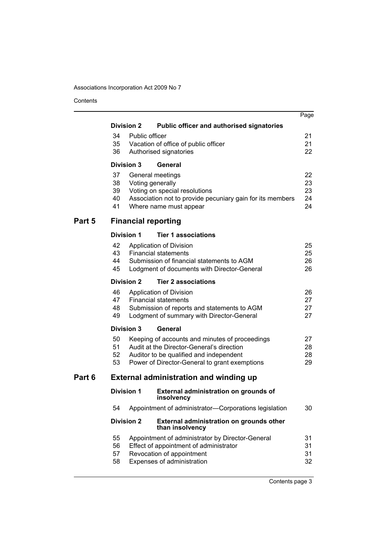Contents

|        |                                                                       |                                                                                          |                                                                                     | Page     |  |  |  |
|--------|-----------------------------------------------------------------------|------------------------------------------------------------------------------------------|-------------------------------------------------------------------------------------|----------|--|--|--|
|        | <b>Division 2</b><br><b>Public officer and authorised signatories</b> |                                                                                          |                                                                                     |          |  |  |  |
|        | 34                                                                    | Public officer                                                                           |                                                                                     | 21       |  |  |  |
|        | 35                                                                    |                                                                                          | Vacation of office of public officer                                                | 21       |  |  |  |
|        | 36                                                                    |                                                                                          | Authorised signatories                                                              | 22       |  |  |  |
|        | <b>Division 3</b>                                                     |                                                                                          | General                                                                             |          |  |  |  |
|        | 37                                                                    |                                                                                          | General meetings                                                                    | 22       |  |  |  |
|        | 38                                                                    |                                                                                          | Voting generally                                                                    | 23       |  |  |  |
|        | 39<br>40                                                              |                                                                                          | Voting on special resolutions                                                       | 23<br>24 |  |  |  |
|        | 41                                                                    |                                                                                          | Association not to provide pecuniary gain for its members<br>Where name must appear | 24       |  |  |  |
| Part 5 |                                                                       |                                                                                          | <b>Financial reporting</b>                                                          |          |  |  |  |
|        | <b>Division 1</b>                                                     |                                                                                          | <b>Tier 1 associations</b>                                                          |          |  |  |  |
|        | 42                                                                    |                                                                                          | Application of Division                                                             | 25       |  |  |  |
|        | 43                                                                    |                                                                                          | <b>Financial statements</b>                                                         | 25       |  |  |  |
|        | 44                                                                    |                                                                                          | Submission of financial statements to AGM                                           | 26       |  |  |  |
|        | 45                                                                    |                                                                                          | Lodgment of documents with Director-General                                         | 26       |  |  |  |
|        | <b>Division 2</b><br><b>Tier 2 associations</b>                       |                                                                                          |                                                                                     |          |  |  |  |
|        | 46                                                                    |                                                                                          | Application of Division                                                             | 26       |  |  |  |
|        | 47                                                                    |                                                                                          | <b>Financial statements</b>                                                         | 27       |  |  |  |
|        | 48                                                                    |                                                                                          | Submission of reports and statements to AGM                                         | 27       |  |  |  |
|        | 49<br>27<br>Lodgment of summary with Director-General                 |                                                                                          |                                                                                     |          |  |  |  |
|        | <b>Division 3</b><br>General                                          |                                                                                          |                                                                                     |          |  |  |  |
|        | 50                                                                    |                                                                                          | Keeping of accounts and minutes of proceedings                                      | 27<br>28 |  |  |  |
|        | 51                                                                    | Audit at the Director-General's direction                                                |                                                                                     |          |  |  |  |
|        | 52<br>53                                                              | Auditor to be qualified and independent<br>Power of Director-General to grant exemptions |                                                                                     |          |  |  |  |
|        |                                                                       |                                                                                          |                                                                                     | 29       |  |  |  |
| Part 6 | <b>External administration and winding up</b>                         |                                                                                          |                                                                                     |          |  |  |  |
|        | <b>Division 1</b>                                                     |                                                                                          | External administration on grounds of<br>insolvency                                 |          |  |  |  |
|        | 54                                                                    |                                                                                          | Appointment of administrator-Corporations legislation                               | 30       |  |  |  |
|        | <b>Division 2</b>                                                     |                                                                                          | External administration on grounds other<br>than insolvency                         |          |  |  |  |
|        | 55                                                                    |                                                                                          | Appointment of administrator by Director-General                                    | 31       |  |  |  |
|        | 56                                                                    |                                                                                          | Effect of appointment of administrator                                              | 31       |  |  |  |
|        | 57                                                                    |                                                                                          | Revocation of appointment                                                           | 31       |  |  |  |
|        | 58                                                                    |                                                                                          | Expenses of administration                                                          | 32       |  |  |  |
|        |                                                                       |                                                                                          |                                                                                     |          |  |  |  |

Contents page 3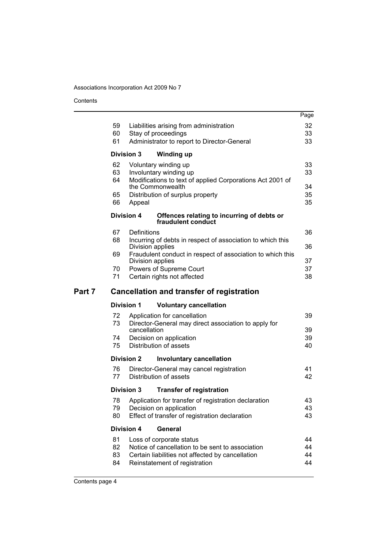Contents

|        |          |                                                                                       | Page     |
|--------|----------|---------------------------------------------------------------------------------------|----------|
|        | 59       | Liabilities arising from administration                                               | 32       |
|        | 60       | Stay of proceedings                                                                   | 33       |
|        | 61       | Administrator to report to Director-General                                           | 33       |
|        |          | <b>Division 3</b><br><b>Winding up</b>                                                |          |
|        | 62       | Voluntary winding up                                                                  | 33       |
|        | 63       | Involuntary winding up                                                                | 33       |
|        | 64       | Modifications to text of applied Corporations Act 2001 of<br>the Commonwealth         | 34       |
|        | 65       | Distribution of surplus property                                                      | 35       |
|        | 66       | Appeal                                                                                | 35       |
|        |          | <b>Division 4</b><br>Offences relating to incurring of debts or<br>fraudulent conduct |          |
|        | 67       | Definitions                                                                           | 36       |
|        | 68       | Incurring of debts in respect of association to which this<br>Division applies        | 36       |
|        | 69       | Fraudulent conduct in respect of association to which this<br>Division applies        | 37       |
|        | 70       | Powers of Supreme Court                                                               | 37       |
|        | 71       | Certain rights not affected                                                           | 38       |
| Part 7 |          | <b>Cancellation and transfer of registration</b>                                      |          |
|        |          | <b>Division 1</b><br><b>Voluntary cancellation</b>                                    |          |
|        | 72       | Application for cancellation                                                          | 39       |
|        |          |                                                                                       |          |
|        | 73       | Director-General may direct association to apply for                                  |          |
|        | 74       | cancellation<br>Decision on application                                               | 39<br>39 |
|        | 75       | Distribution of assets                                                                | 40       |
|        |          | <b>Division 2</b><br><b>Involuntary cancellation</b>                                  |          |
|        | 76       | Director-General may cancel registration                                              | 41       |
|        | 77       | Distribution of assets                                                                | 42       |
|        |          | Division 3<br><b>Transfer of registration</b>                                         |          |
|        | 78       | Application for transfer of registration declaration                                  | 43       |
|        | 79       | Decision on application                                                               | 43       |
|        | 80       | Effect of transfer of registration declaration                                        | 43       |
|        |          | <b>Division 4</b><br>General                                                          |          |
|        | 81       | Loss of corporate status                                                              | 44       |
|        | 82       | Notice of cancellation to be sent to association                                      | 44       |
|        | 83<br>84 | Certain liabilities not affected by cancellation<br>Reinstatement of registration     | 44<br>44 |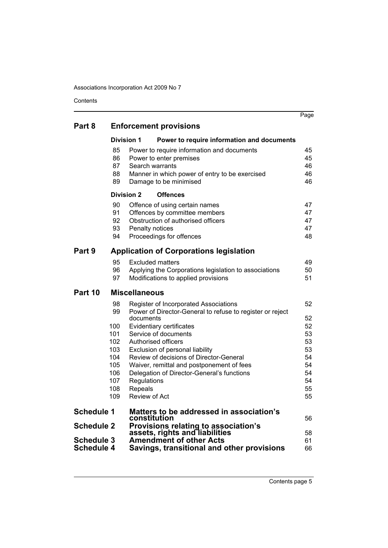Contents

|                   |            |                                                                          | Page     |
|-------------------|------------|--------------------------------------------------------------------------|----------|
| Part 8            |            | <b>Enforcement provisions</b>                                            |          |
|                   |            | <b>Division 1</b><br>Power to require information and documents          |          |
|                   | 85         | Power to require information and documents                               | 45       |
|                   | 86         | Power to enter premises                                                  | 45       |
|                   | 87         | Search warrants                                                          | 46       |
|                   | 88<br>89   | Manner in which power of entry to be exercised<br>Damage to be minimised | 46<br>46 |
|                   |            | <b>Division 2</b><br><b>Offences</b>                                     |          |
|                   | 90         | Offence of using certain names                                           | 47       |
|                   | 91         | Offences by committee members                                            | 47       |
|                   | 92<br>93   | Obstruction of authorised officers                                       | 47<br>47 |
|                   | 94         | Penalty notices<br>Proceedings for offences                              | 48       |
| Part 9            |            | <b>Application of Corporations legislation</b>                           |          |
|                   | 95         | <b>Excluded matters</b>                                                  | 49       |
|                   | 96         | Applying the Corporations legislation to associations                    | 50       |
|                   | 97         | Modifications to applied provisions                                      | 51       |
| Part 10           |            | <b>Miscellaneous</b>                                                     |          |
|                   | 98         | Register of Incorporated Associations                                    | 52       |
|                   | 99         | Power of Director-General to refuse to register or reject                |          |
|                   | 100        | documents<br>Evidentiary certificates                                    | 52<br>52 |
|                   | 101        | Service of documents                                                     | 53       |
|                   | 102        | Authorised officers                                                      | 53       |
|                   | 103        | Exclusion of personal liability                                          | 53       |
|                   | 104        | Review of decisions of Director-General                                  | 54       |
|                   | 105        | Waiver, remittal and postponement of fees                                | 54       |
|                   | 106        | Delegation of Director-General's functions                               | 54       |
|                   | 107        | Regulations                                                              | 54       |
|                   | 108<br>109 | Repeals<br><b>Review of Act</b>                                          | 55<br>55 |
|                   |            |                                                                          |          |
| <b>Schedule 1</b> |            | Matters to be addressed in association's<br>constitution                 | 56       |
| Schedule 2        |            | Provisions relating to association's<br>assets, rights and liabilities   |          |
| <b>Schedule 3</b> |            | <b>Amendment of other Acts</b>                                           | 58<br>61 |
| <b>Schedule 4</b> |            | Savings, transitional and other provisions                               | 66       |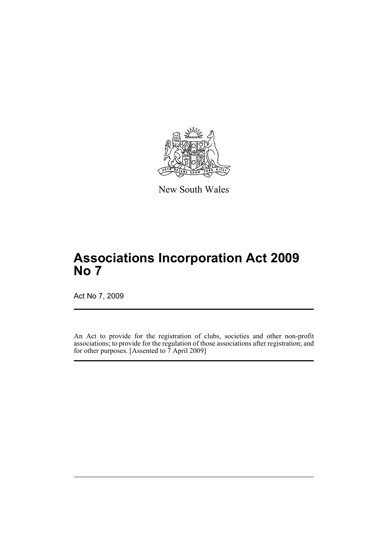

New South Wales

# **Associations Incorporation Act 2009 No 7**

Act No 7, 2009

An Act to provide for the registration of clubs, societies and other non-profit associations; to provide for the regulation of those associations after registration; and for other purposes. [Assented to 7 April 2009]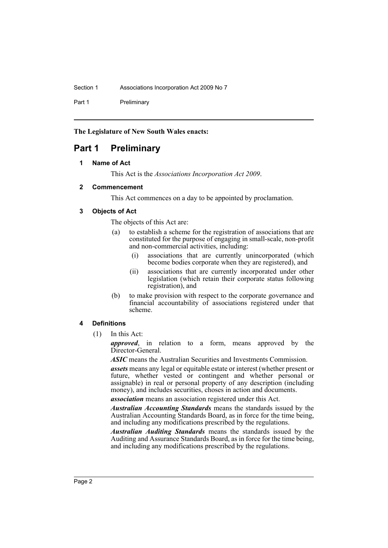Section 1 **Associations Incorporation Act 2009 No 7** 

Part 1 Preliminary

**The Legislature of New South Wales enacts:**

# <span id="page-6-1"></span><span id="page-6-0"></span>**Part 1 Preliminary**

# **1 Name of Act**

This Act is the *Associations Incorporation Act 2009*.

# <span id="page-6-2"></span>**2 Commencement**

This Act commences on a day to be appointed by proclamation.

# <span id="page-6-3"></span>**3 Objects of Act**

The objects of this Act are:

- (a) to establish a scheme for the registration of associations that are constituted for the purpose of engaging in small-scale, non-profit and non-commercial activities, including:
	- (i) associations that are currently unincorporated (which become bodies corporate when they are registered), and
	- (ii) associations that are currently incorporated under other legislation (which retain their corporate status following registration), and
- (b) to make provision with respect to the corporate governance and financial accountability of associations registered under that scheme.

# <span id="page-6-4"></span>**4 Definitions**

(1) In this Act:

*approved*, in relation to a form, means approved by the Director-General.

*ASIC* means the Australian Securities and Investments Commission.

*assets* means any legal or equitable estate or interest (whether present or future, whether vested or contingent and whether personal or assignable) in real or personal property of any description (including money), and includes securities, choses in action and documents.

*association* means an association registered under this Act.

*Australian Accounting Standards* means the standards issued by the Australian Accounting Standards Board, as in force for the time being, and including any modifications prescribed by the regulations.

*Australian Auditing Standards* means the standards issued by the Auditing and Assurance Standards Board, as in force for the time being, and including any modifications prescribed by the regulations.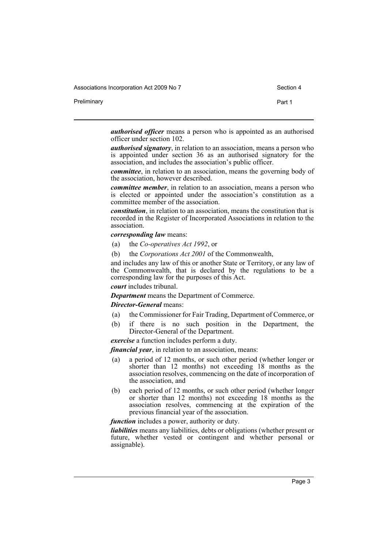Preliminary **Preliminary Part 1** 

*authorised officer* means a person who is appointed as an authorised officer under section 102.

*authorised signatory*, in relation to an association, means a person who is appointed under section 36 as an authorised signatory for the association, and includes the association's public officer.

*committee*, in relation to an association, means the governing body of the association, however described.

*committee member*, in relation to an association, means a person who is elected or appointed under the association's constitution as a committee member of the association.

*constitution*, in relation to an association, means the constitution that is recorded in the Register of Incorporated Associations in relation to the association.

#### *corresponding law* means:

- (a) the *Co-operatives Act 1992*, or
- (b) the *Corporations Act 2001* of the Commonwealth,

and includes any law of this or another State or Territory, or any law of the Commonwealth, that is declared by the regulations to be a corresponding law for the purposes of this Act.

*court* includes tribunal.

*Department* means the Department of Commerce.

*Director-General* means:

- (a) the Commissioner for Fair Trading, Department of Commerce, or
- (b) if there is no such position in the Department, the Director-General of the Department.

*exercise* a function includes perform a duty.

*financial year*, in relation to an association, means:

- (a) a period of 12 months, or such other period (whether longer or shorter than 12 months) not exceeding 18 months as the association resolves, commencing on the date of incorporation of the association, and
- (b) each period of 12 months, or such other period (whether longer or shorter than 12 months) not exceeding 18 months as the association resolves, commencing at the expiration of the previous financial year of the association.

*function* includes a power, authority or duty.

*liabilities* means any liabilities, debts or obligations (whether present or future, whether vested or contingent and whether personal or assignable).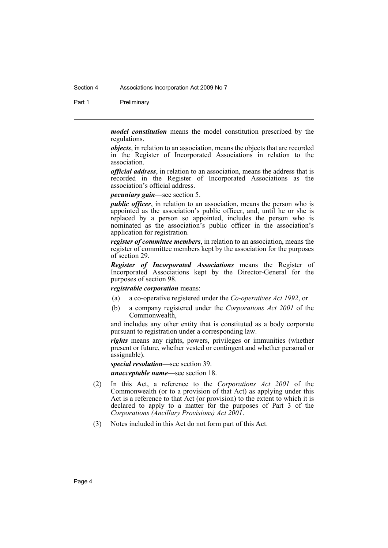#### Section 4 Associations Incorporation Act 2009 No 7

Part 1 Preliminary

*model constitution* means the model constitution prescribed by the regulations.

*objects*, in relation to an association, means the objects that are recorded in the Register of Incorporated Associations in relation to the association.

*official address*, in relation to an association, means the address that is recorded in the Register of Incorporated Associations as the association's official address.

*pecuniary gain*—see section 5.

*public officer*, in relation to an association, means the person who is appointed as the association's public officer, and, until he or she is replaced by a person so appointed, includes the person who is nominated as the association's public officer in the association's application for registration.

*register of committee members*, in relation to an association, means the register of committee members kept by the association for the purposes of section 29.

*Register of Incorporated Associations* means the Register of Incorporated Associations kept by the Director-General for the purposes of section 98.

*registrable corporation* means:

- (a) a co-operative registered under the *Co-operatives Act 1992*, or
- (b) a company registered under the *Corporations Act 2001* of the Commonwealth,

and includes any other entity that is constituted as a body corporate pursuant to registration under a corresponding law.

*rights* means any rights, powers, privileges or immunities (whether present or future, whether vested or contingent and whether personal or assignable).

*special resolution*—see section 39. *unacceptable name*—see section 18.

- (2) In this Act, a reference to the *Corporations Act 2001* of the Commonwealth (or to a provision of that Act) as applying under this Act is a reference to that Act (or provision) to the extent to which it is declared to apply to a matter for the purposes of Part 3 of the *Corporations (Ancillary Provisions) Act 2001*.
- (3) Notes included in this Act do not form part of this Act.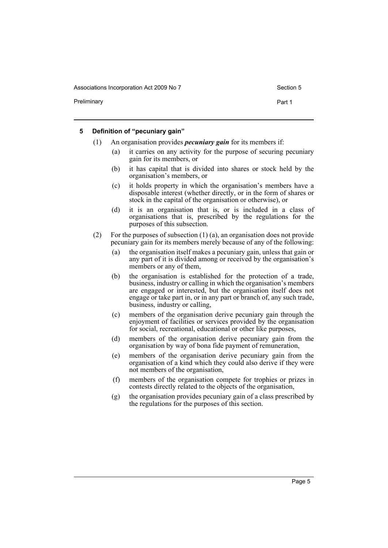Preliminary **Preliminary Part 1** 

#### <span id="page-9-0"></span>**5 Definition of "pecuniary gain"**

- (1) An organisation provides *pecuniary gain* for its members if:
	- (a) it carries on any activity for the purpose of securing pecuniary gain for its members, or
	- (b) it has capital that is divided into shares or stock held by the organisation's members, or
	- (c) it holds property in which the organisation's members have a disposable interest (whether directly, or in the form of shares or stock in the capital of the organisation or otherwise), or
	- (d) it is an organisation that is, or is included in a class of organisations that is, prescribed by the regulations for the purposes of this subsection.
- (2) For the purposes of subsection (1) (a), an organisation does not provide pecuniary gain for its members merely because of any of the following:
	- (a) the organisation itself makes a pecuniary gain, unless that gain or any part of it is divided among or received by the organisation's members or any of them,
	- (b) the organisation is established for the protection of a trade, business, industry or calling in which the organisation's members are engaged or interested, but the organisation itself does not engage or take part in, or in any part or branch of, any such trade, business, industry or calling,
	- (c) members of the organisation derive pecuniary gain through the enjoyment of facilities or services provided by the organisation for social, recreational, educational or other like purposes,
	- (d) members of the organisation derive pecuniary gain from the organisation by way of bona fide payment of remuneration,
	- (e) members of the organisation derive pecuniary gain from the organisation of a kind which they could also derive if they were not members of the organisation,
	- (f) members of the organisation compete for trophies or prizes in contests directly related to the objects of the organisation,
	- (g) the organisation provides pecuniary gain of a class prescribed by the regulations for the purposes of this section.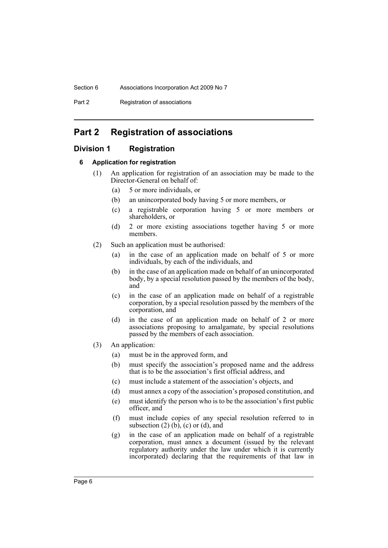Part 2 Registration of associations

# <span id="page-10-0"></span>**Part 2 Registration of associations**

# <span id="page-10-2"></span><span id="page-10-1"></span>**Division 1 Registration**

# **6 Application for registration**

- (1) An application for registration of an association may be made to the Director-General on behalf of:
	- (a) 5 or more individuals, or
	- (b) an unincorporated body having 5 or more members, or
	- (c) a registrable corporation having 5 or more members or shareholders, or
	- (d) 2 or more existing associations together having 5 or more members.
- (2) Such an application must be authorised:
	- (a) in the case of an application made on behalf of 5 or more individuals, by each of the individuals, and
	- (b) in the case of an application made on behalf of an unincorporated body, by a special resolution passed by the members of the body, and
	- (c) in the case of an application made on behalf of a registrable corporation, by a special resolution passed by the members of the corporation, and
	- (d) in the case of an application made on behalf of 2 or more associations proposing to amalgamate, by special resolutions passed by the members of each association.
- (3) An application:
	- (a) must be in the approved form, and
	- (b) must specify the association's proposed name and the address that is to be the association's first official address, and
	- (c) must include a statement of the association's objects, and
	- (d) must annex a copy of the association's proposed constitution, and
	- (e) must identify the person who is to be the association's first public officer, and
	- (f) must include copies of any special resolution referred to in subsection  $(2)$  (b),  $(c)$  or  $(d)$ , and
	- (g) in the case of an application made on behalf of a registrable corporation, must annex a document (issued by the relevant regulatory authority under the law under which it is currently incorporated) declaring that the requirements of that law in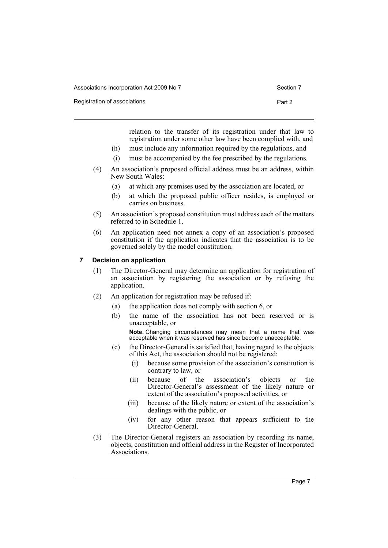Registration of associations **Part 2** and 2

relation to the transfer of its registration under that law to registration under some other law have been complied with, and

- (h) must include any information required by the regulations, and
- (i) must be accompanied by the fee prescribed by the regulations.
- (4) An association's proposed official address must be an address, within New South Wales:
	- (a) at which any premises used by the association are located, or
	- (b) at which the proposed public officer resides, is employed or carries on business.
- (5) An association's proposed constitution must address each of the matters referred to in Schedule 1.
- (6) An application need not annex a copy of an association's proposed constitution if the application indicates that the association is to be governed solely by the model constitution.

# <span id="page-11-0"></span>**7 Decision on application**

- (1) The Director-General may determine an application for registration of an association by registering the association or by refusing the application.
- (2) An application for registration may be refused if:
	- (a) the application does not comply with section 6, or
	- (b) the name of the association has not been reserved or is unacceptable, or

**Note.** Changing circumstances may mean that a name that was acceptable when it was reserved has since become unacceptable.

- (c) the Director-General is satisfied that, having regard to the objects of this Act, the association should not be registered:
	- (i) because some provision of the association's constitution is contrary to law, or
	- (ii) because of the association's objects or the Director-General's assessment of the likely nature or extent of the association's proposed activities, or
	- (iii) because of the likely nature or extent of the association's dealings with the public, or
	- (iv) for any other reason that appears sufficient to the Director-General.
- (3) The Director-General registers an association by recording its name, objects, constitution and official address in the Register of Incorporated Associations.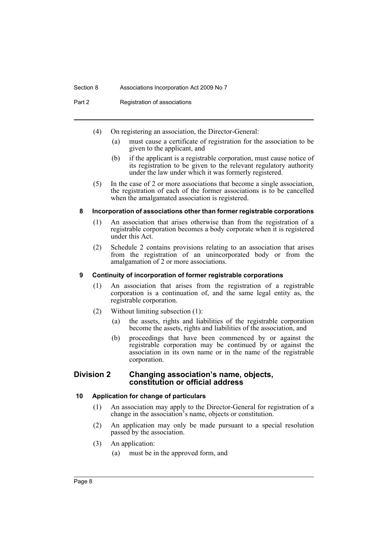#### Section 8 Associations Incorporation Act 2009 No 7

Part 2 Registration of associations

- (4) On registering an association, the Director-General:
	- (a) must cause a certificate of registration for the association to be given to the applicant, and
	- (b) if the applicant is a registrable corporation, must cause notice of its registration to be given to the relevant regulatory authority under the law under which it was formerly registered.
- (5) In the case of 2 or more associations that become a single association, the registration of each of the former associations is to be cancelled when the amalgamated association is registered.

# <span id="page-12-0"></span>**8 Incorporation of associations other than former registrable corporations**

- (1) An association that arises otherwise than from the registration of a registrable corporation becomes a body corporate when it is registered under this Act.
- (2) Schedule 2 contains provisions relating to an association that arises from the registration of an unincorporated body or from the amalgamation of 2 or more associations.

# <span id="page-12-1"></span>**9 Continuity of incorporation of former registrable corporations**

- (1) An association that arises from the registration of a registrable corporation is a continuation of, and the same legal entity as, the registrable corporation.
- (2) Without limiting subsection (1):
	- (a) the assets, rights and liabilities of the registrable corporation become the assets, rights and liabilities of the association, and
	- (b) proceedings that have been commenced by or against the registrable corporation may be continued by or against the association in its own name or in the name of the registrable corporation.

# <span id="page-12-2"></span>**Division 2 Changing association's name, objects, constitution or official address**

# <span id="page-12-3"></span>**10 Application for change of particulars**

- (1) An association may apply to the Director-General for registration of a change in the association's name, objects or constitution.
- (2) An application may only be made pursuant to a special resolution passed by the association.
- (3) An application:
	- (a) must be in the approved form, and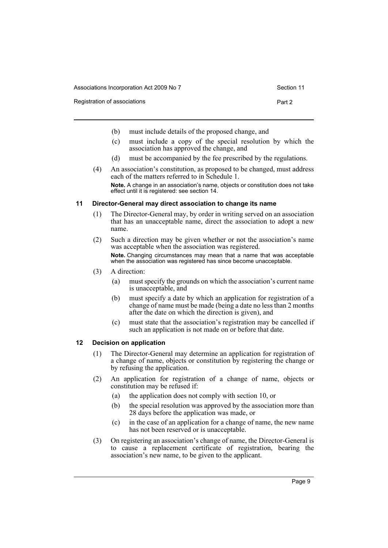Registration of associations **Part 2** and 2

- 
- (b) must include details of the proposed change, and
- (c) must include a copy of the special resolution by which the association has approved the change, and
- (d) must be accompanied by the fee prescribed by the regulations.
- (4) An association's constitution, as proposed to be changed, must address each of the matters referred to in Schedule 1. **Note.** A change in an association's name, objects or constitution does not take effect until it is registered: see section 14.

# <span id="page-13-0"></span>**11 Director-General may direct association to change its name**

- (1) The Director-General may, by order in writing served on an association that has an unacceptable name, direct the association to adopt a new name.
- (2) Such a direction may be given whether or not the association's name was acceptable when the association was registered. **Note.** Changing circumstances may mean that a name that was acceptable when the association was registered has since become unacceptable.
- (3) A direction:
	- (a) must specify the grounds on which the association's current name is unacceptable, and
	- (b) must specify a date by which an application for registration of a change of name must be made (being a date no less than 2 months after the date on which the direction is given), and
	- (c) must state that the association's registration may be cancelled if such an application is not made on or before that date.

### <span id="page-13-1"></span>**12 Decision on application**

- (1) The Director-General may determine an application for registration of a change of name, objects or constitution by registering the change or by refusing the application.
- (2) An application for registration of a change of name, objects or constitution may be refused if:
	- (a) the application does not comply with section 10, or
	- (b) the special resolution was approved by the association more than 28 days before the application was made, or
	- (c) in the case of an application for a change of name, the new name has not been reserved or is unacceptable.
- (3) On registering an association's change of name, the Director-General is to cause a replacement certificate of registration, bearing the association's new name, to be given to the applicant.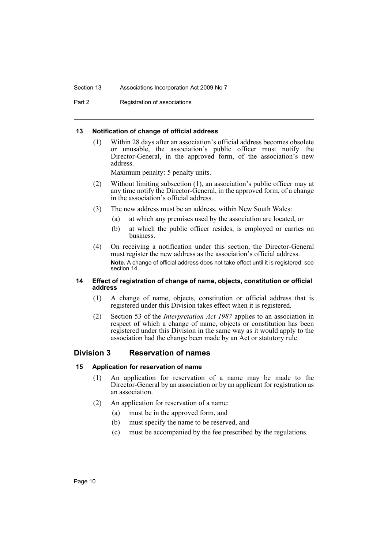#### Section 13 Associations Incorporation Act 2009 No 7

Part 2 Registration of associations

#### <span id="page-14-0"></span>**13 Notification of change of official address**

(1) Within 28 days after an association's official address becomes obsolete or unusable, the association's public officer must notify the Director-General, in the approved form, of the association's new address.

Maximum penalty: 5 penalty units.

- (2) Without limiting subsection (1), an association's public officer may at any time notify the Director-General, in the approved form, of a change in the association's official address.
- (3) The new address must be an address, within New South Wales:
	- (a) at which any premises used by the association are located, or
	- (b) at which the public officer resides, is employed or carries on business.
- (4) On receiving a notification under this section, the Director-General must register the new address as the association's official address. **Note.** A change of official address does not take effect until it is registered: see section 14.

#### <span id="page-14-1"></span>**14 Effect of registration of change of name, objects, constitution or official address**

- (1) A change of name, objects, constitution or official address that is registered under this Division takes effect when it is registered.
- (2) Section 53 of the *Interpretation Act 1987* applies to an association in respect of which a change of name, objects or constitution has been registered under this Division in the same way as it would apply to the association had the change been made by an Act or statutory rule.

# <span id="page-14-2"></span>**Division 3 Reservation of names**

#### <span id="page-14-3"></span>**15 Application for reservation of name**

- (1) An application for reservation of a name may be made to the Director-General by an association or by an applicant for registration as an association.
- (2) An application for reservation of a name:
	- (a) must be in the approved form, and
	- (b) must specify the name to be reserved, and
	- (c) must be accompanied by the fee prescribed by the regulations.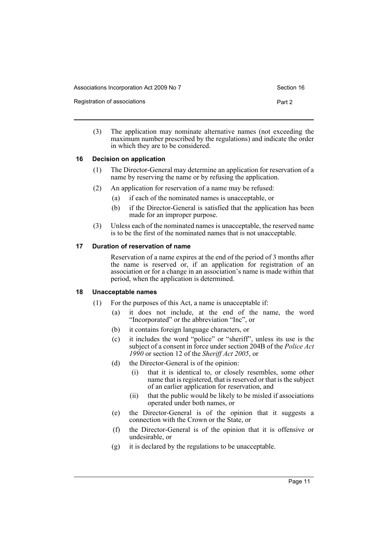Registration of associations **Part 2** and 2

(3) The application may nominate alternative names (not exceeding the maximum number prescribed by the regulations) and indicate the order in which they are to be considered.

# <span id="page-15-0"></span>**16 Decision on application**

- (1) The Director-General may determine an application for reservation of a name by reserving the name or by refusing the application.
- (2) An application for reservation of a name may be refused:
	- (a) if each of the nominated names is unacceptable, or
	- (b) if the Director-General is satisfied that the application has been made for an improper purpose.
- (3) Unless each of the nominated names is unacceptable, the reserved name is to be the first of the nominated names that is not unacceptable.

# <span id="page-15-1"></span>**17 Duration of reservation of name**

Reservation of a name expires at the end of the period of 3 months after the name is reserved or, if an application for registration of an association or for a change in an association's name is made within that period, when the application is determined.

#### <span id="page-15-2"></span>**18 Unacceptable names**

- (1) For the purposes of this Act, a name is unacceptable if:
	- (a) it does not include, at the end of the name, the word "Incorporated" or the abbreviation "Inc", or
	- (b) it contains foreign language characters, or
	- (c) it includes the word "police" or "sheriff", unless its use is the subject of a consent in force under section 204B of the *Police Act 1990* or section 12 of the *Sheriff Act 2005*, or
	- (d) the Director-General is of the opinion:
		- (i) that it is identical to, or closely resembles, some other name that is registered, that is reserved or that is the subject of an earlier application for reservation, and
		- (ii) that the public would be likely to be misled if associations operated under both names, or
	- (e) the Director-General is of the opinion that it suggests a connection with the Crown or the State, or
	- (f) the Director-General is of the opinion that it is offensive or undesirable, or
	- (g) it is declared by the regulations to be unacceptable.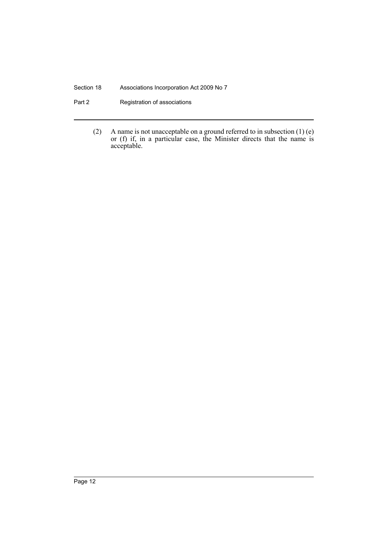# Section 18 Associations Incorporation Act 2009 No 7

- Part 2 **Registration of associations** 
	- (2) A name is not unacceptable on a ground referred to in subsection  $(1)$  (e) or (f) if, in a particular case, the Minister directs that the name is acceptable.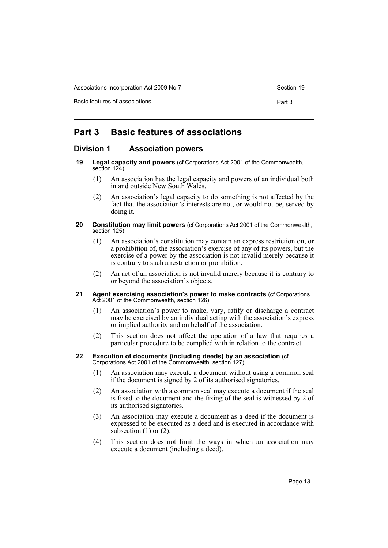Basic features of associations **Part 3** 

# <span id="page-17-0"></span>**Part 3 Basic features of associations**

# <span id="page-17-1"></span>**Division 1 Association powers**

- <span id="page-17-2"></span>**19 Legal capacity and powers** (cf Corporations Act 2001 of the Commonwealth, section 124)
	- (1) An association has the legal capacity and powers of an individual both in and outside New South Wales.
	- (2) An association's legal capacity to do something is not affected by the fact that the association's interests are not, or would not be, served by doing it.

#### <span id="page-17-3"></span>**20 Constitution may limit powers** (cf Corporations Act 2001 of the Commonwealth, section 125)

- (1) An association's constitution may contain an express restriction on, or a prohibition of, the association's exercise of any of its powers, but the exercise of a power by the association is not invalid merely because it is contrary to such a restriction or prohibition.
- (2) An act of an association is not invalid merely because it is contrary to or beyond the association's objects.
- <span id="page-17-4"></span>**21 Agent exercising association's power to make contracts (cf Corporations)** Act 2001 of the Commonwealth, section 126)
	- (1) An association's power to make, vary, ratify or discharge a contract may be exercised by an individual acting with the association's express or implied authority and on behalf of the association.
	- (2) This section does not affect the operation of a law that requires a particular procedure to be complied with in relation to the contract.

#### <span id="page-17-5"></span>**22 Execution of documents (including deeds) by an association** (cf Corporations Act 2001 of the Commonwealth, section 127)

- (1) An association may execute a document without using a common seal if the document is signed by 2 of its authorised signatories.
- (2) An association with a common seal may execute a document if the seal is fixed to the document and the fixing of the seal is witnessed by 2 of its authorised signatories.
- (3) An association may execute a document as a deed if the document is expressed to be executed as a deed and is executed in accordance with subsection  $(1)$  or  $(2)$ .
- (4) This section does not limit the ways in which an association may execute a document (including a deed).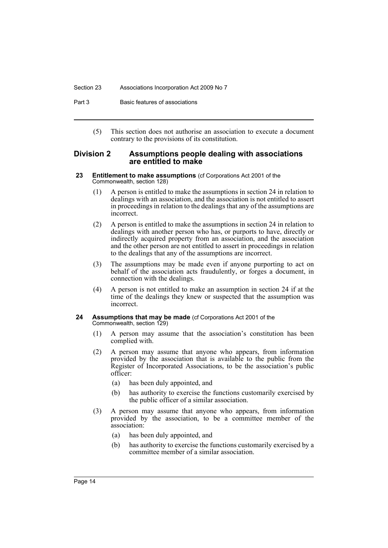#### Section 23 Associations Incorporation Act 2009 No 7

Part 3 Basic features of associations

(5) This section does not authorise an association to execute a document contrary to the provisions of its constitution.

# <span id="page-18-0"></span>**Division 2 Assumptions people dealing with associations are entitled to make**

- <span id="page-18-1"></span>**23 Entitlement to make assumptions** (cf Corporations Act 2001 of the Commonwealth, section 128)
	- (1) A person is entitled to make the assumptions in section 24 in relation to dealings with an association, and the association is not entitled to assert in proceedings in relation to the dealings that any of the assumptions are incorrect.
	- (2) A person is entitled to make the assumptions in section 24 in relation to dealings with another person who has, or purports to have, directly or indirectly acquired property from an association, and the association and the other person are not entitled to assert in proceedings in relation to the dealings that any of the assumptions are incorrect.
	- (3) The assumptions may be made even if anyone purporting to act on behalf of the association acts fraudulently, or forges a document, in connection with the dealings.
	- (4) A person is not entitled to make an assumption in section 24 if at the time of the dealings they knew or suspected that the assumption was incorrect.

#### <span id="page-18-2"></span>**24 Assumptions that may be made** (cf Corporations Act 2001 of the Commonwealth, section 129)

- (1) A person may assume that the association's constitution has been complied with.
- (2) A person may assume that anyone who appears, from information provided by the association that is available to the public from the Register of Incorporated Associations, to be the association's public officer:
	- (a) has been duly appointed, and
	- (b) has authority to exercise the functions customarily exercised by the public officer of a similar association.
- (3) A person may assume that anyone who appears, from information provided by the association, to be a committee member of the association:
	- (a) has been duly appointed, and
	- (b) has authority to exercise the functions customarily exercised by a committee member of a similar association.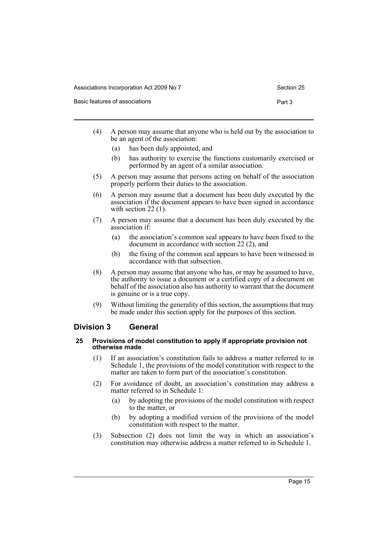Basic features of associations **Part 3** 

|  | (4) | A person may assume that anyone who is held out by the association to<br>be an agent of the association: |  |
|--|-----|----------------------------------------------------------------------------------------------------------|--|
|--|-----|----------------------------------------------------------------------------------------------------------|--|

- (a) has been duly appointed, and
- (b) has authority to exercise the functions customarily exercised or performed by an agent of a similar association.
- (5) A person may assume that persons acting on behalf of the association properly perform their duties to the association.
- (6) A person may assume that a document has been duly executed by the association if the document appears to have been signed in accordance with section 22 (1).
- (7) A person may assume that a document has been duly executed by the association if:
	- (a) the association's common seal appears to have been fixed to the document in accordance with section 22 (2), and
	- (b) the fixing of the common seal appears to have been witnessed in accordance with that subsection.
- (8) A person may assume that anyone who has, or may be assumed to have, the authority to issue a document or a certified copy of a document on behalf of the association also has authority to warrant that the document is genuine or is a true copy.
- (9) Without limiting the generality of this section, the assumptions that may be made under this section apply for the purposes of this section.

# <span id="page-19-0"></span>**Division 3 General**

#### <span id="page-19-1"></span>**25 Provisions of model constitution to apply if appropriate provision not otherwise made**

- (1) If an association's constitution fails to address a matter referred to in Schedule 1, the provisions of the model constitution with respect to the matter are taken to form part of the association's constitution.
- (2) For avoidance of doubt, an association's constitution may address a matter referred to in Schedule 1:
	- (a) by adopting the provisions of the model constitution with respect to the matter, or
	- (b) by adopting a modified version of the provisions of the model constitution with respect to the matter.
- (3) Subsection (2) does not limit the way in which an association's constitution may otherwise address a matter referred to in Schedule 1.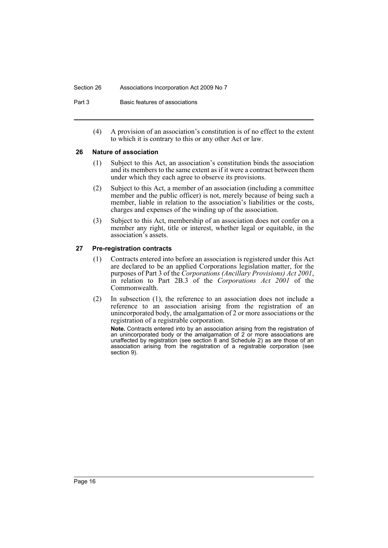#### Section 26 Associations Incorporation Act 2009 No 7

Part 3 Basic features of associations

(4) A provision of an association's constitution is of no effect to the extent to which it is contrary to this or any other Act or law.

#### <span id="page-20-0"></span>**26 Nature of association**

- (1) Subject to this Act, an association's constitution binds the association and its members to the same extent as if it were a contract between them under which they each agree to observe its provisions.
- (2) Subject to this Act, a member of an association (including a committee member and the public officer) is not, merely because of being such a member, liable in relation to the association's liabilities or the costs, charges and expenses of the winding up of the association.
- (3) Subject to this Act, membership of an association does not confer on a member any right, title or interest, whether legal or equitable, in the association's assets.

# <span id="page-20-1"></span>**27 Pre-registration contracts**

- (1) Contracts entered into before an association is registered under this Act are declared to be an applied Corporations legislation matter, for the purposes of Part 3 of the *Corporations (Ancillary Provisions) Act 2001*, in relation to Part 2B.3 of the *Corporations Act 2001* of the Commonwealth.
- (2) In subsection (1), the reference to an association does not include a reference to an association arising from the registration of an unincorporated body, the amalgamation of 2 or more associations or the registration of a registrable corporation.

**Note.** Contracts entered into by an association arising from the registration of an unincorporated body or the amalgamation of 2 or more associations are unaffected by registration (see section 8 and Schedule 2) as are those of an association arising from the registration of a registrable corporation (see section 9).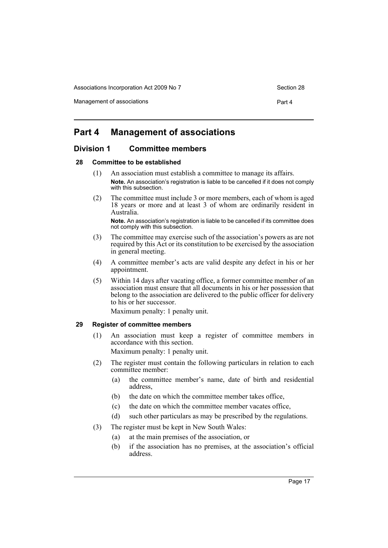Management of associations **Part 4** 

# <span id="page-21-0"></span>**Part 4 Management of associations**

# <span id="page-21-1"></span>**Division 1 Committee members**

#### <span id="page-21-2"></span>**28 Committee to be established**

- (1) An association must establish a committee to manage its affairs. **Note.** An association's registration is liable to be cancelled if it does not comply with this subsection.
- (2) The committee must include 3 or more members, each of whom is aged 18 years or more and at least 3 of whom are ordinarily resident in Australia.

**Note.** An association's registration is liable to be cancelled if its committee does not comply with this subsection.

- (3) The committee may exercise such of the association's powers as are not required by this Act or its constitution to be exercised by the association in general meeting.
- (4) A committee member's acts are valid despite any defect in his or her appointment.
- (5) Within 14 days after vacating office, a former committee member of an association must ensure that all documents in his or her possession that belong to the association are delivered to the public officer for delivery to his or her successor.

Maximum penalty: 1 penalty unit.

# <span id="page-21-3"></span>**29 Register of committee members**

(1) An association must keep a register of committee members in accordance with this section.

Maximum penalty: 1 penalty unit.

- (2) The register must contain the following particulars in relation to each committee member:
	- (a) the committee member's name, date of birth and residential address,
	- (b) the date on which the committee member takes office
	- (c) the date on which the committee member vacates office,
	- (d) such other particulars as may be prescribed by the regulations.
- (3) The register must be kept in New South Wales:
	- (a) at the main premises of the association, or
	- (b) if the association has no premises, at the association's official address.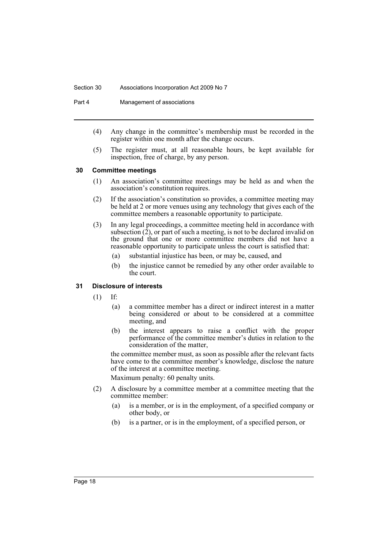#### Section 30 Associations Incorporation Act 2009 No 7

Part 4 Management of associations

- (4) Any change in the committee's membership must be recorded in the register within one month after the change occurs.
- (5) The register must, at all reasonable hours, be kept available for inspection, free of charge, by any person.

#### <span id="page-22-0"></span>**30 Committee meetings**

- (1) An association's committee meetings may be held as and when the association's constitution requires.
- (2) If the association's constitution so provides, a committee meeting may be held at 2 or more venues using any technology that gives each of the committee members a reasonable opportunity to participate.
- (3) In any legal proceedings, a committee meeting held in accordance with subsection  $(2)$ , or part of such a meeting, is not to be declared invalid on the ground that one or more committee members did not have a reasonable opportunity to participate unless the court is satisfied that:
	- (a) substantial injustice has been, or may be, caused, and
	- (b) the injustice cannot be remedied by any other order available to the court.

# <span id="page-22-1"></span>**31 Disclosure of interests**

- (1) If:
	- (a) a committee member has a direct or indirect interest in a matter being considered or about to be considered at a committee meeting, and
	- (b) the interest appears to raise a conflict with the proper performance of the committee member's duties in relation to the consideration of the matter,

the committee member must, as soon as possible after the relevant facts have come to the committee member's knowledge, disclose the nature of the interest at a committee meeting.

Maximum penalty: 60 penalty units.

- (2) A disclosure by a committee member at a committee meeting that the committee member:
	- (a) is a member, or is in the employment, of a specified company or other body, or
	- (b) is a partner, or is in the employment, of a specified person, or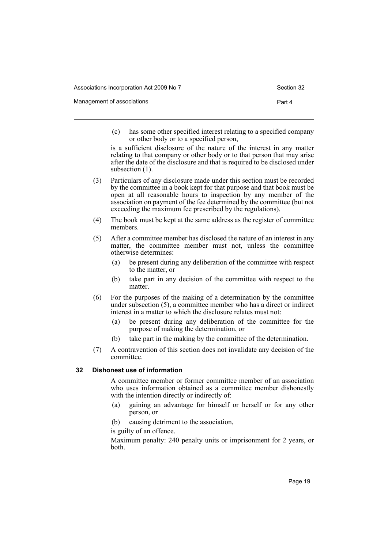Management of associations **Part 4** and 2008 and 2008 and 2008 and 2008 and 2008 and 2008 and 2008 and 2008 and 2008 and 2008 and 2008 and 2008 and 2008 and 2008 and 2008 and 2008 and 2008 and 2008 and 2008 and 2008 and 20

(c) has some other specified interest relating to a specified company or other body or to a specified person,

is a sufficient disclosure of the nature of the interest in any matter relating to that company or other body or to that person that may arise after the date of the disclosure and that is required to be disclosed under subsection  $(1)$ .

- (3) Particulars of any disclosure made under this section must be recorded by the committee in a book kept for that purpose and that book must be open at all reasonable hours to inspection by any member of the association on payment of the fee determined by the committee (but not exceeding the maximum fee prescribed by the regulations).
- (4) The book must be kept at the same address as the register of committee members.
- (5) After a committee member has disclosed the nature of an interest in any matter, the committee member must not, unless the committee otherwise determines:
	- (a) be present during any deliberation of the committee with respect to the matter, or
	- (b) take part in any decision of the committee with respect to the matter.
- (6) For the purposes of the making of a determination by the committee under subsection (5), a committee member who has a direct or indirect interest in a matter to which the disclosure relates must not:
	- (a) be present during any deliberation of the committee for the purpose of making the determination, or
	- (b) take part in the making by the committee of the determination.
- (7) A contravention of this section does not invalidate any decision of the committee.

# <span id="page-23-0"></span>**32 Dishonest use of information**

A committee member or former committee member of an association who uses information obtained as a committee member dishonestly with the intention directly or indirectly of:

- (a) gaining an advantage for himself or herself or for any other person, or
- (b) causing detriment to the association,

# is guilty of an offence.

Maximum penalty: 240 penalty units or imprisonment for 2 years, or both.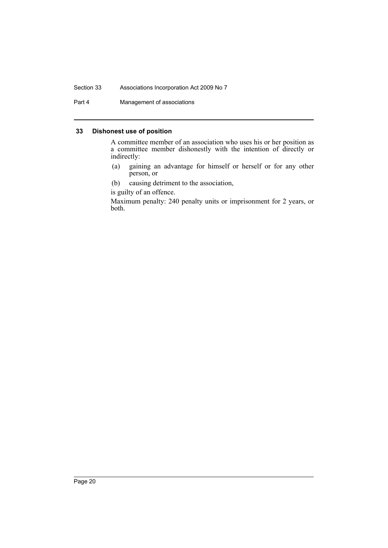# Section 33 Associations Incorporation Act 2009 No 7

Part 4 Management of associations

# <span id="page-24-0"></span>**33 Dishonest use of position**

A committee member of an association who uses his or her position as a committee member dishonestly with the intention of directly or indirectly:

- (a) gaining an advantage for himself or herself or for any other person, or
- (b) causing detriment to the association,

is guilty of an offence.

Maximum penalty: 240 penalty units or imprisonment for 2 years, or both.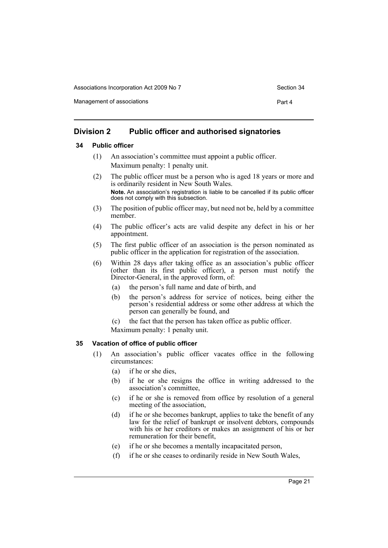Management of associations **Part 4** 

# <span id="page-25-0"></span>**Division 2 Public officer and authorised signatories**

# <span id="page-25-1"></span>**34 Public officer**

- (1) An association's committee must appoint a public officer. Maximum penalty: 1 penalty unit.
- (2) The public officer must be a person who is aged 18 years or more and is ordinarily resident in New South Wales. **Note.** An association's registration is liable to be cancelled if its public officer does not comply with this subsection.
- (3) The position of public officer may, but need not be, held by a committee member.
- (4) The public officer's acts are valid despite any defect in his or her appointment.
- (5) The first public officer of an association is the person nominated as public officer in the application for registration of the association.
- (6) Within 28 days after taking office as an association's public officer (other than its first public officer), a person must notify the Director-General, in the approved form, of:
	- (a) the person's full name and date of birth, and
	- (b) the person's address for service of notices, being either the person's residential address or some other address at which the person can generally be found, and
	- (c) the fact that the person has taken office as public officer.

Maximum penalty: 1 penalty unit.

# <span id="page-25-2"></span>**35 Vacation of office of public officer**

- (1) An association's public officer vacates office in the following circumstances:
	- (a) if he or she dies,
	- (b) if he or she resigns the office in writing addressed to the association's committee,
	- (c) if he or she is removed from office by resolution of a general meeting of the association,
	- (d) if he or she becomes bankrupt, applies to take the benefit of any law for the relief of bankrupt or insolvent debtors, compounds with his or her creditors or makes an assignment of his or her remuneration for their benefit,
	- (e) if he or she becomes a mentally incapacitated person,
	- (f) if he or she ceases to ordinarily reside in New South Wales,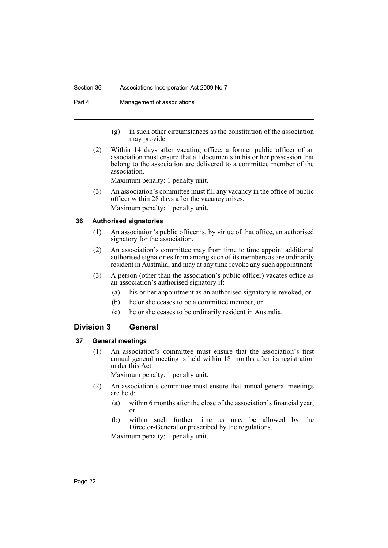#### Section 36 Associations Incorporation Act 2009 No 7

Part 4 Management of associations

- (g) in such other circumstances as the constitution of the association may provide.
- (2) Within 14 days after vacating office, a former public officer of an association must ensure that all documents in his or her possession that belong to the association are delivered to a committee member of the association.

Maximum penalty: 1 penalty unit.

(3) An association's committee must fill any vacancy in the office of public officer within 28 days after the vacancy arises. Maximum penalty: 1 penalty unit.

# <span id="page-26-0"></span>**36 Authorised signatories**

- (1) An association's public officer is, by virtue of that office, an authorised signatory for the association.
- (2) An association's committee may from time to time appoint additional authorised signatories from among such of its members as are ordinarily resident in Australia, and may at any time revoke any such appointment.
- (3) A person (other than the association's public officer) vacates office as an association's authorised signatory if:
	- (a) his or her appointment as an authorised signatory is revoked, or
	- (b) he or she ceases to be a committee member, or
	- (c) he or she ceases to be ordinarily resident in Australia.

# <span id="page-26-1"></span>**Division 3 General**

# <span id="page-26-2"></span>**37 General meetings**

(1) An association's committee must ensure that the association's first annual general meeting is held within 18 months after its registration under this Act.

Maximum penalty: 1 penalty unit.

- (2) An association's committee must ensure that annual general meetings are held:
	- (a) within 6 months after the close of the association's financial year, or
	- (b) within such further time as may be allowed by the Director-General or prescribed by the regulations.

Maximum penalty: 1 penalty unit.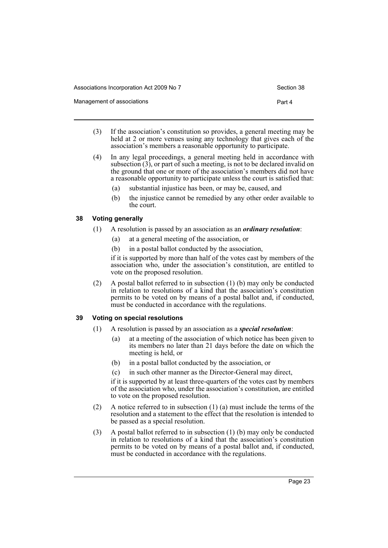Management of associations **Part 4** and 2008 and 2008 and 2008 and 2008 and 2008 and 2008 and 2008 and 2008 and 2008 and 2008 and 2008 and 2008 and 2008 and 2008 and 2008 and 2008 and 2008 and 2008 and 2008 and 2008 and 20

- (3) If the association's constitution so provides, a general meeting may be held at 2 or more venues using any technology that gives each of the association's members a reasonable opportunity to participate.
- (4) In any legal proceedings, a general meeting held in accordance with subsection (3), or part of such a meeting, is not to be declared invalid on the ground that one or more of the association's members did not have a reasonable opportunity to participate unless the court is satisfied that:
	- (a) substantial injustice has been, or may be, caused, and
	- (b) the injustice cannot be remedied by any other order available to the court.

# <span id="page-27-0"></span>**38 Voting generally**

- (1) A resolution is passed by an association as an *ordinary resolution*:
	- (a) at a general meeting of the association, or
	- (b) in a postal ballot conducted by the association,

if it is supported by more than half of the votes cast by members of the association who, under the association's constitution, are entitled to vote on the proposed resolution.

(2) A postal ballot referred to in subsection (1) (b) may only be conducted in relation to resolutions of a kind that the association's constitution permits to be voted on by means of a postal ballot and, if conducted, must be conducted in accordance with the regulations.

# <span id="page-27-1"></span>**39 Voting on special resolutions**

- (1) A resolution is passed by an association as a *special resolution*:
	- (a) at a meeting of the association of which notice has been given to its members no later than 21 days before the date on which the meeting is held, or
	- (b) in a postal ballot conducted by the association, or
	- (c) in such other manner as the Director-General may direct,

if it is supported by at least three-quarters of the votes cast by members of the association who, under the association's constitution, are entitled to vote on the proposed resolution.

- (2) A notice referred to in subsection  $(1)$  (a) must include the terms of the resolution and a statement to the effect that the resolution is intended to be passed as a special resolution.
- (3) A postal ballot referred to in subsection (1) (b) may only be conducted in relation to resolutions of a kind that the association's constitution permits to be voted on by means of a postal ballot and, if conducted, must be conducted in accordance with the regulations.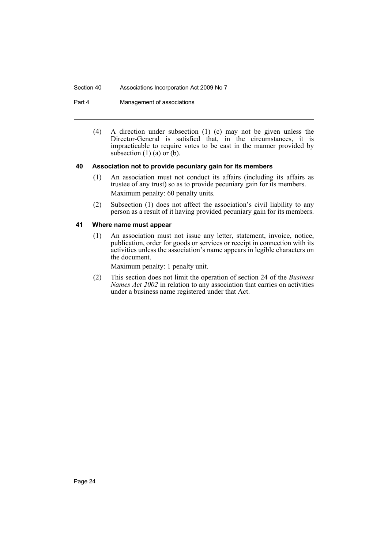#### Section 40 Associations Incorporation Act 2009 No 7

Part 4 Management of associations

(4) A direction under subsection (1) (c) may not be given unless the Director-General is satisfied that, in the circumstances, it is impracticable to require votes to be cast in the manner provided by subsection  $(1)$  (a) or  $(b)$ .

# <span id="page-28-0"></span>**40 Association not to provide pecuniary gain for its members**

- (1) An association must not conduct its affairs (including its affairs as trustee of any trust) so as to provide pecuniary gain for its members. Maximum penalty: 60 penalty units.
- (2) Subsection (1) does not affect the association's civil liability to any person as a result of it having provided pecuniary gain for its members.

# <span id="page-28-1"></span>**41 Where name must appear**

(1) An association must not issue any letter, statement, invoice, notice, publication, order for goods or services or receipt in connection with its activities unless the association's name appears in legible characters on the document.

Maximum penalty: 1 penalty unit.

(2) This section does not limit the operation of section 24 of the *Business Names Act 2002* in relation to any association that carries on activities under a business name registered under that Act.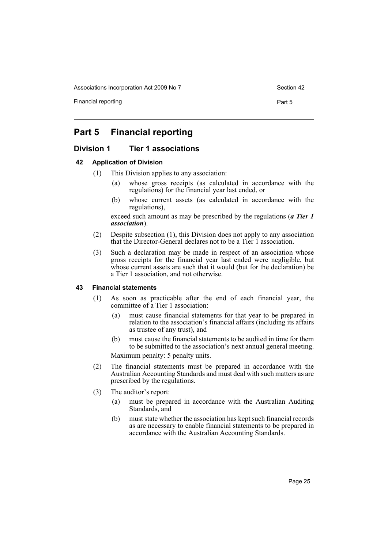Financial reporting **Part 5** 

# <span id="page-29-0"></span>**Part 5 Financial reporting**

# <span id="page-29-1"></span>**Division 1 Tier 1 associations**

# <span id="page-29-2"></span>**42 Application of Division**

- (1) This Division applies to any association:
	- (a) whose gross receipts (as calculated in accordance with the regulations) for the financial year last ended, or
	- (b) whose current assets (as calculated in accordance with the regulations),

exceed such amount as may be prescribed by the regulations (*a Tier 1 association*).

- (2) Despite subsection (1), this Division does not apply to any association that the Director-General declares not to be a Tier 1 association.
- (3) Such a declaration may be made in respect of an association whose gross receipts for the financial year last ended were negligible, but whose current assets are such that it would (but for the declaration) be a Tier 1 association, and not otherwise.

#### <span id="page-29-3"></span>**43 Financial statements**

- (1) As soon as practicable after the end of each financial year, the committee of a Tier 1 association:
	- (a) must cause financial statements for that year to be prepared in relation to the association's financial affairs (including its affairs as trustee of any trust), and
	- (b) must cause the financial statements to be audited in time for them to be submitted to the association's next annual general meeting. Maximum penalty: 5 penalty units.
- (2) The financial statements must be prepared in accordance with the Australian Accounting Standards and must deal with such matters as are prescribed by the regulations.
- (3) The auditor's report:
	- (a) must be prepared in accordance with the Australian Auditing Standards, and
	- (b) must state whether the association has kept such financial records as are necessary to enable financial statements to be prepared in accordance with the Australian Accounting Standards.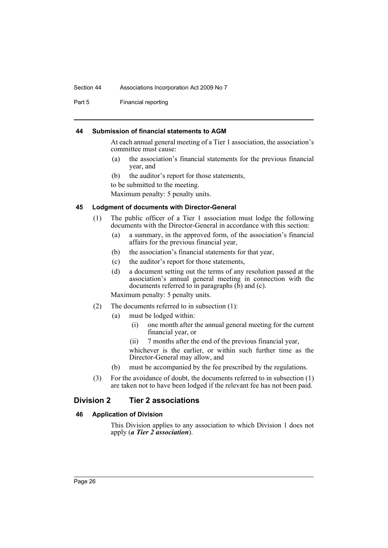#### Section 44 Associations Incorporation Act 2009 No 7

Part 5 Financial reporting

#### <span id="page-30-0"></span>**44 Submission of financial statements to AGM**

At each annual general meeting of a Tier 1 association, the association's committee must cause:

- (a) the association's financial statements for the previous financial year, and
- (b) the auditor's report for those statements,

to be submitted to the meeting.

Maximum penalty: 5 penalty units.

#### <span id="page-30-1"></span>**45 Lodgment of documents with Director-General**

- (1) The public officer of a Tier 1 association must lodge the following documents with the Director-General in accordance with this section:
	- (a) a summary, in the approved form, of the association's financial affairs for the previous financial year,
	- (b) the association's financial statements for that year,
	- (c) the auditor's report for those statements,
	- (d) a document setting out the terms of any resolution passed at the association's annual general meeting in connection with the documents referred to in paragraphs  $(\bar{b})$  and  $(c)$ .

Maximum penalty: 5 penalty units.

- (2) The documents referred to in subsection (1):
	- (a) must be lodged within:
		- (i) one month after the annual general meeting for the current financial year, or
		- (ii) 7 months after the end of the previous financial year,

whichever is the earlier, or within such further time as the Director-General may allow, and

- (b) must be accompanied by the fee prescribed by the regulations.
- (3) For the avoidance of doubt, the documents referred to in subsection (1) are taken not to have been lodged if the relevant fee has not been paid.

# <span id="page-30-2"></span>**Division 2 Tier 2 associations**

# <span id="page-30-3"></span>**46 Application of Division**

This Division applies to any association to which Division 1 does not apply (*a Tier 2 association*).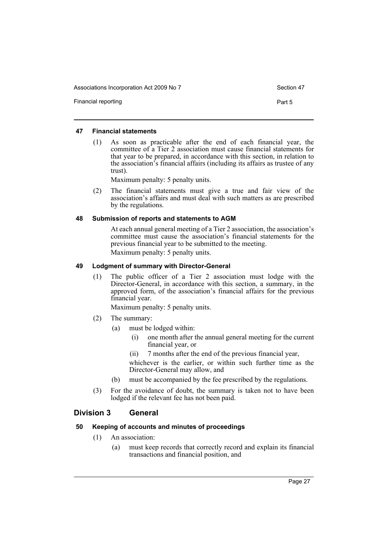Financial reporting **Part 5** 

#### <span id="page-31-0"></span>**47 Financial statements**

(1) As soon as practicable after the end of each financial year, the committee of a Tier 2 association must cause financial statements for that year to be prepared, in accordance with this section, in relation to the association's financial affairs (including its affairs as trustee of any trust).

Maximum penalty: 5 penalty units.

(2) The financial statements must give a true and fair view of the association's affairs and must deal with such matters as are prescribed by the regulations.

# <span id="page-31-1"></span>**48 Submission of reports and statements to AGM**

At each annual general meeting of a Tier 2 association, the association's committee must cause the association's financial statements for the previous financial year to be submitted to the meeting. Maximum penalty: 5 penalty units.

# <span id="page-31-2"></span>**49 Lodgment of summary with Director-General**

(1) The public officer of a Tier 2 association must lodge with the Director-General, in accordance with this section, a summary, in the approved form, of the association's financial affairs for the previous financial year.

Maximum penalty: 5 penalty units.

- (2) The summary:
	- (a) must be lodged within:
		- (i) one month after the annual general meeting for the current financial year, or
		- (ii) 7 months after the end of the previous financial year,
		- whichever is the earlier, or within such further time as the Director-General may allow, and
	- (b) must be accompanied by the fee prescribed by the regulations.
- (3) For the avoidance of doubt, the summary is taken not to have been lodged if the relevant fee has not been paid.

# <span id="page-31-3"></span>**Division 3 General**

# <span id="page-31-4"></span>**50 Keeping of accounts and minutes of proceedings**

- (1) An association:
	- (a) must keep records that correctly record and explain its financial transactions and financial position, and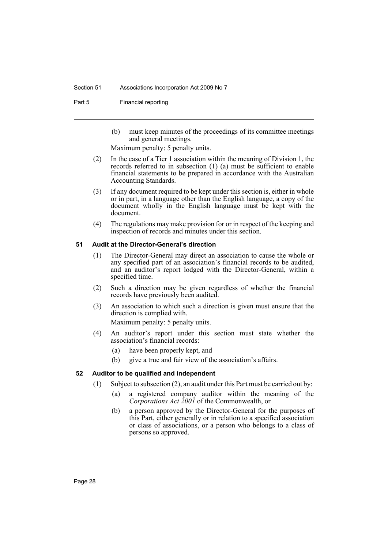#### Section 51 Associations Incorporation Act 2009 No 7

Part 5 Financial reporting

(b) must keep minutes of the proceedings of its committee meetings and general meetings.

Maximum penalty: 5 penalty units.

- (2) In the case of a Tier 1 association within the meaning of Division 1, the records referred to in subsection (1) (a) must be sufficient to enable financial statements to be prepared in accordance with the Australian Accounting Standards.
- (3) If any document required to be kept under this section is, either in whole or in part, in a language other than the English language, a copy of the document wholly in the English language must be kept with the document.
- (4) The regulations may make provision for or in respect of the keeping and inspection of records and minutes under this section.

# <span id="page-32-0"></span>**51 Audit at the Director-General's direction**

- (1) The Director-General may direct an association to cause the whole or any specified part of an association's financial records to be audited, and an auditor's report lodged with the Director-General, within a specified time.
- (2) Such a direction may be given regardless of whether the financial records have previously been audited.
- (3) An association to which such a direction is given must ensure that the direction is complied with.

Maximum penalty: 5 penalty units.

- (4) An auditor's report under this section must state whether the association's financial records:
	- (a) have been properly kept, and
	- (b) give a true and fair view of the association's affairs.

# <span id="page-32-1"></span>**52 Auditor to be qualified and independent**

- (1) Subject to subsection (2), an audit under this Part must be carried out by:
	- (a) a registered company auditor within the meaning of the *Corporations Act 2001* of the Commonwealth, or
	- (b) a person approved by the Director-General for the purposes of this Part, either generally or in relation to a specified association or class of associations, or a person who belongs to a class of persons so approved.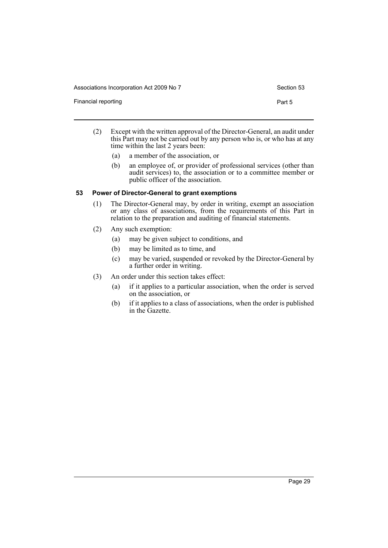Financial reporting **Part 5** 

- 
- (2) Except with the written approval of the Director-General, an audit under this Part may not be carried out by any person who is, or who has at any time within the last 2 years been:
	- (a) a member of the association, or
	- (b) an employee of, or provider of professional services (other than audit services) to, the association or to a committee member or public officer of the association.

# <span id="page-33-0"></span>**53 Power of Director-General to grant exemptions**

- (1) The Director-General may, by order in writing, exempt an association or any class of associations, from the requirements of this Part in relation to the preparation and auditing of financial statements.
- (2) Any such exemption:
	- (a) may be given subject to conditions, and
	- (b) may be limited as to time, and
	- (c) may be varied, suspended or revoked by the Director-General by a further order in writing.
- (3) An order under this section takes effect:
	- (a) if it applies to a particular association, when the order is served on the association, or
	- (b) if it applies to a class of associations, when the order is published in the Gazette.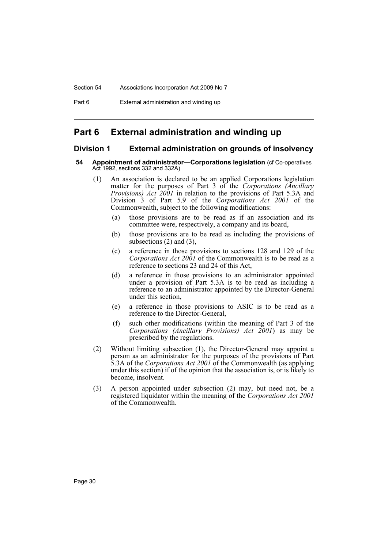# <span id="page-34-0"></span>**Part 6 External administration and winding up**

# <span id="page-34-1"></span>**Division 1 External administration on grounds of insolvency**

#### <span id="page-34-2"></span>**54 Appointment of administrator—Corporations legislation** (cf Co-operatives Act 1992, sections 332 and 332A)

- (1) An association is declared to be an applied Corporations legislation matter for the purposes of Part 3 of the *Corporations (Ancillary Provisions) Act 2001* in relation to the provisions of Part 5.3A and Division 3 of Part 5.9 of the *Corporations Act 2001* of the Commonwealth, subject to the following modifications:
	- (a) those provisions are to be read as if an association and its committee were, respectively, a company and its board,
	- (b) those provisions are to be read as including the provisions of subsections  $(2)$  and  $(3)$ ,
	- (c) a reference in those provisions to sections 128 and 129 of the *Corporations Act 2001* of the Commonwealth is to be read as a reference to sections 23 and 24 of this Act,
	- (d) a reference in those provisions to an administrator appointed under a provision of Part 5.3A is to be read as including a reference to an administrator appointed by the Director-General under this section,
	- (e) a reference in those provisions to ASIC is to be read as a reference to the Director-General,
	- (f) such other modifications (within the meaning of Part 3 of the *Corporations (Ancillary Provisions) Act 2001*) as may be prescribed by the regulations.
- (2) Without limiting subsection (1), the Director-General may appoint a person as an administrator for the purposes of the provisions of Part 5.3A of the *Corporations Act 2001* of the Commonwealth (as applying under this section) if of the opinion that the association is, or is likely to become, insolvent.
- (3) A person appointed under subsection (2) may, but need not, be a registered liquidator within the meaning of the *Corporations Act 2001* of the Commonwealth.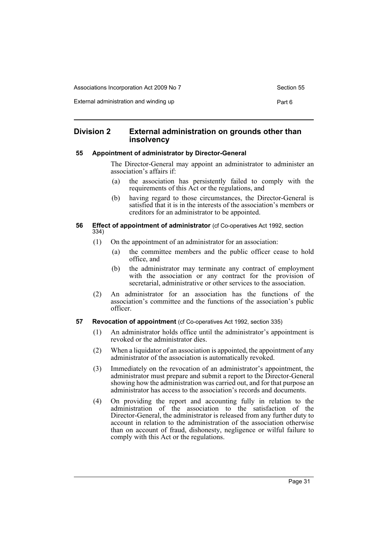External administration and winding up **Part 6** Part 6

# <span id="page-35-0"></span>**Division 2 External administration on grounds other than insolvency**

# <span id="page-35-1"></span>**55 Appointment of administrator by Director-General**

The Director-General may appoint an administrator to administer an association's affairs if:

- (a) the association has persistently failed to comply with the requirements of this Act or the regulations, and
- (b) having regard to those circumstances, the Director-General is satisfied that it is in the interests of the association's members or creditors for an administrator to be appointed.

#### <span id="page-35-2"></span>**56 Effect of appointment of administrator** (cf Co-operatives Act 1992, section 334)

- (1) On the appointment of an administrator for an association:
	- (a) the committee members and the public officer cease to hold office, and
	- (b) the administrator may terminate any contract of employment with the association or any contract for the provision of secretarial, administrative or other services to the association.
- (2) An administrator for an association has the functions of the association's committee and the functions of the association's public officer.
- <span id="page-35-3"></span>**57 Revocation of appointment** (cf Co-operatives Act 1992, section 335)
	- (1) An administrator holds office until the administrator's appointment is revoked or the administrator dies.
	- (2) When a liquidator of an association is appointed, the appointment of any administrator of the association is automatically revoked.
	- (3) Immediately on the revocation of an administrator's appointment, the administrator must prepare and submit a report to the Director-General showing how the administration was carried out, and for that purpose an administrator has access to the association's records and documents.
	- (4) On providing the report and accounting fully in relation to the administration of the association to the satisfaction of the Director-General, the administrator is released from any further duty to account in relation to the administration of the association otherwise than on account of fraud, dishonesty, negligence or wilful failure to comply with this Act or the regulations.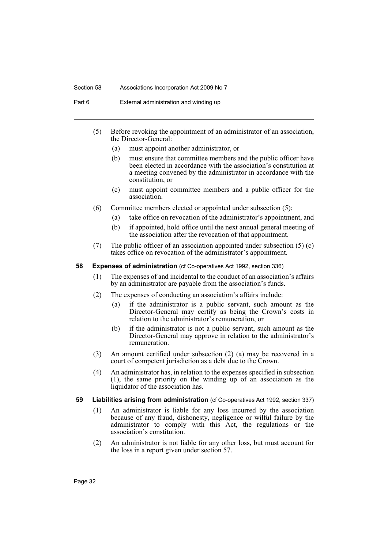#### Section 58 Associations Incorporation Act 2009 No 7

Part 6 External administration and winding up

- (5) Before revoking the appointment of an administrator of an association, the Director-General:
	- (a) must appoint another administrator, or
	- (b) must ensure that committee members and the public officer have been elected in accordance with the association's constitution at a meeting convened by the administrator in accordance with the constitution, or
	- (c) must appoint committee members and a public officer for the association.
- (6) Committee members elected or appointed under subsection (5):
	- (a) take office on revocation of the administrator's appointment, and
	- (b) if appointed, hold office until the next annual general meeting of the association after the revocation of that appointment.
- (7) The public officer of an association appointed under subsection (5) (c) takes office on revocation of the administrator's appointment.

#### **58 Expenses of administration** (cf Co-operatives Act 1992, section 336)

- (1) The expenses of and incidental to the conduct of an association's affairs by an administrator are payable from the association's funds.
- (2) The expenses of conducting an association's affairs include:
	- (a) if the administrator is a public servant, such amount as the Director-General may certify as being the Crown's costs in relation to the administrator's remuneration, or
	- (b) if the administrator is not a public servant, such amount as the Director-General may approve in relation to the administrator's remuneration.
- (3) An amount certified under subsection (2) (a) may be recovered in a court of competent jurisdiction as a debt due to the Crown.
- (4) An administrator has, in relation to the expenses specified in subsection (1), the same priority on the winding up of an association as the liquidator of the association has.
- **59 Liabilities arising from administration** (cf Co-operatives Act 1992, section 337)
	- (1) An administrator is liable for any loss incurred by the association because of any fraud, dishonesty, negligence or wilful failure by the administrator to comply with this Act, the regulations or the association's constitution.
	- (2) An administrator is not liable for any other loss, but must account for the loss in a report given under section 57.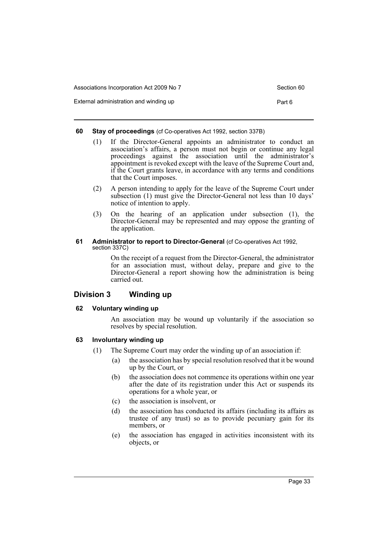| Associations Incorporation Act 2009 No 7 | Section 60 |
|------------------------------------------|------------|
| External administration and winding up   | Part 6     |

#### **60 Stay of proceedings** (cf Co-operatives Act 1992, section 337B)

- (1) If the Director-General appoints an administrator to conduct an association's affairs, a person must not begin or continue any legal proceedings against the association until the administrator's appointment is revoked except with the leave of the Supreme Court and, if the Court grants leave, in accordance with any terms and conditions that the Court imposes.
- (2) A person intending to apply for the leave of the Supreme Court under subsection (1) must give the Director-General not less than 10 days' notice of intention to apply.
- (3) On the hearing of an application under subsection (1), the Director-General may be represented and may oppose the granting of the application.

#### **61** Administrator to report to Director-General (cf Co-operatives Act 1992, section 337C)

On the receipt of a request from the Director-General, the administrator for an association must, without delay, prepare and give to the Director-General a report showing how the administration is being carried out.

# **Division 3 Winding up**

## **62 Voluntary winding up**

An association may be wound up voluntarily if the association so resolves by special resolution.

## **63 Involuntary winding up**

- (1) The Supreme Court may order the winding up of an association if:
	- (a) the association has by special resolution resolved that it be wound up by the Court, or
	- (b) the association does not commence its operations within one year after the date of its registration under this Act or suspends its operations for a whole year, or
	- (c) the association is insolvent, or
	- (d) the association has conducted its affairs (including its affairs as trustee of any trust) so as to provide pecuniary gain for its members, or
	- (e) the association has engaged in activities inconsistent with its objects, or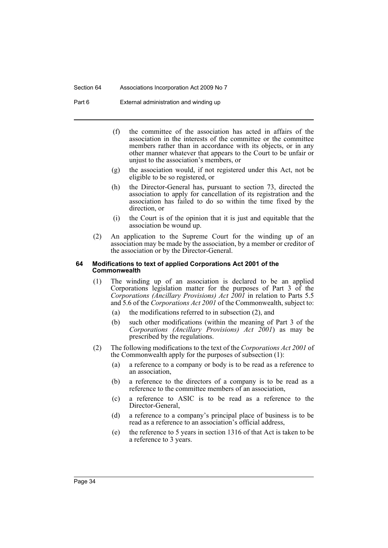Section 64 Associations Incorporation Act 2009 No 7

Part 6 External administration and winding up

- (f) the committee of the association has acted in affairs of the association in the interests of the committee or the committee members rather than in accordance with its objects, or in any other manner whatever that appears to the Court to be unfair or unjust to the association's members, or
- (g) the association would, if not registered under this Act, not be eligible to be so registered, or
- (h) the Director-General has, pursuant to section 73, directed the association to apply for cancellation of its registration and the association has failed to do so within the time fixed by the direction, or
- (i) the Court is of the opinion that it is just and equitable that the association be wound up.
- (2) An application to the Supreme Court for the winding up of an association may be made by the association, by a member or creditor of the association or by the Director-General.

#### **64 Modifications to text of applied Corporations Act 2001 of the Commonwealth**

- (1) The winding up of an association is declared to be an applied Corporations legislation matter for the purposes of Part 3 of the *Corporations (Ancillary Provisions) Act 2001* in relation to Parts 5.5 and 5.6 of the *Corporations Act 2001* of the Commonwealth, subject to:
	- (a) the modifications referred to in subsection (2), and
	- (b) such other modifications (within the meaning of Part 3 of the *Corporations (Ancillary Provisions) Act 2001*) as may be prescribed by the regulations.
- (2) The following modifications to the text of the *Corporations Act 2001* of the Commonwealth apply for the purposes of subsection (1):
	- (a) a reference to a company or body is to be read as a reference to an association,
	- (b) a reference to the directors of a company is to be read as a reference to the committee members of an association,
	- (c) a reference to ASIC is to be read as a reference to the Director-General,
	- (d) a reference to a company's principal place of business is to be read as a reference to an association's official address,
	- (e) the reference to 5 years in section 1316 of that Act is taken to be a reference to 3 years.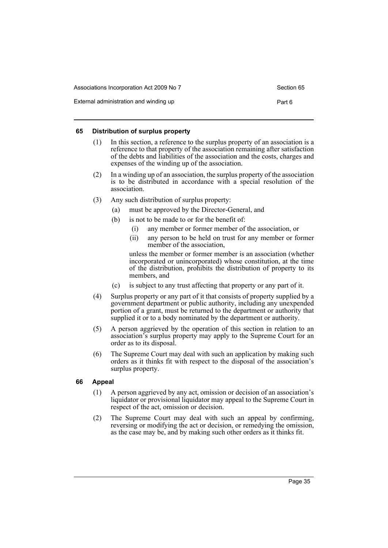| Associations Incorporation Act 2009 No 7 | Section 65 |
|------------------------------------------|------------|
| External administration and winding up   | Part 6     |

#### **65 Distribution of surplus property**

- (1) In this section, a reference to the surplus property of an association is a reference to that property of the association remaining after satisfaction of the debts and liabilities of the association and the costs, charges and expenses of the winding up of the association.
- (2) In a winding up of an association, the surplus property of the association is to be distributed in accordance with a special resolution of the association.
- (3) Any such distribution of surplus property:
	- (a) must be approved by the Director-General, and
	- (b) is not to be made to or for the benefit of:
		- (i) any member or former member of the association, or
		- (ii) any person to be held on trust for any member or former member of the association,

unless the member or former member is an association (whether incorporated or unincorporated) whose constitution, at the time of the distribution, prohibits the distribution of property to its members, and

- (c) is subject to any trust affecting that property or any part of it.
- (4) Surplus property or any part of it that consists of property supplied by a government department or public authority, including any unexpended portion of a grant, must be returned to the department or authority that supplied it or to a body nominated by the department or authority.
- (5) A person aggrieved by the operation of this section in relation to an association's surplus property may apply to the Supreme Court for an order as to its disposal.
- (6) The Supreme Court may deal with such an application by making such orders as it thinks fit with respect to the disposal of the association's surplus property.

## **66 Appeal**

- (1) A person aggrieved by any act, omission or decision of an association's liquidator or provisional liquidator may appeal to the Supreme Court in respect of the act, omission or decision.
- (2) The Supreme Court may deal with such an appeal by confirming, reversing or modifying the act or decision, or remedying the omission, as the case may be, and by making such other orders as it thinks fit.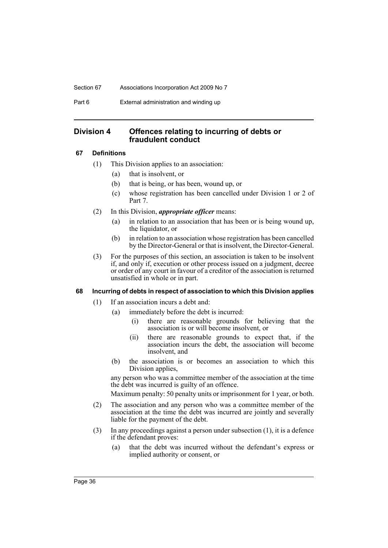Section 67 Associations Incorporation Act 2009 No 7

Part 6 External administration and winding up

# **Division 4 Offences relating to incurring of debts or fraudulent conduct**

# **67 Definitions**

- (1) This Division applies to an association:
	- (a) that is insolvent, or
	- (b) that is being, or has been, wound up, or
	- (c) whose registration has been cancelled under Division 1 or 2 of Part 7.
- (2) In this Division, *appropriate officer* means:
	- (a) in relation to an association that has been or is being wound up, the liquidator, or
	- (b) in relation to an association whose registration has been cancelled by the Director-General or that is insolvent, the Director-General.
- (3) For the purposes of this section, an association is taken to be insolvent if, and only if, execution or other process issued on a judgment, decree or order of any court in favour of a creditor of the association is returned unsatisfied in whole or in part.

# **68 Incurring of debts in respect of association to which this Division applies**

- (1) If an association incurs a debt and:
	- (a) immediately before the debt is incurred:
		- (i) there are reasonable grounds for believing that the association is or will become insolvent, or
		- (ii) there are reasonable grounds to expect that, if the association incurs the debt, the association will become insolvent, and
	- (b) the association is or becomes an association to which this Division applies,

any person who was a committee member of the association at the time the debt was incurred is guilty of an offence.

Maximum penalty: 50 penalty units or imprisonment for 1 year, or both.

- (2) The association and any person who was a committee member of the association at the time the debt was incurred are jointly and severally liable for the payment of the debt.
- (3) In any proceedings against a person under subsection (1), it is a defence if the defendant proves:
	- (a) that the debt was incurred without the defendant's express or implied authority or consent, or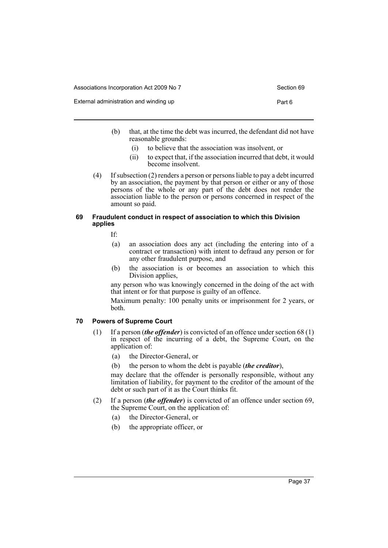| Associations Incorporation Act 2009 No 7 | Section 69 |
|------------------------------------------|------------|
|------------------------------------------|------------|

|  | Section 69 |  |
|--|------------|--|
|  |            |  |

| External administration and winding up | Part 6 |
|----------------------------------------|--------|
|                                        |        |

- (b) that, at the time the debt was incurred, the defendant did not have reasonable grounds:
	- (i) to believe that the association was insolvent, or
	- (ii) to expect that, if the association incurred that debt, it would become insolvent.
- (4) If subsection (2) renders a person or persons liable to pay a debt incurred by an association, the payment by that person or either or any of those persons of the whole or any part of the debt does not render the association liable to the person or persons concerned in respect of the amount so paid.

#### **69 Fraudulent conduct in respect of association to which this Division applies**

If:

- (a) an association does any act (including the entering into of a contract or transaction) with intent to defraud any person or for any other fraudulent purpose, and
- (b) the association is or becomes an association to which this Division applies,

any person who was knowingly concerned in the doing of the act with that intent or for that purpose is guilty of an offence.

Maximum penalty: 100 penalty units or imprisonment for 2 years, or both.

## **70 Powers of Supreme Court**

- (1) If a person (*the offender*) is convicted of an offence under section 68 (1) in respect of the incurring of a debt, the Supreme Court, on the application of:
	- (a) the Director-General, or
	- (b) the person to whom the debt is payable (*the creditor*),

may declare that the offender is personally responsible, without any limitation of liability, for payment to the creditor of the amount of the debt or such part of it as the Court thinks fit.

- (2) If a person (*the offender*) is convicted of an offence under section 69, the Supreme Court, on the application of:
	- (a) the Director-General, or
	- (b) the appropriate officer, or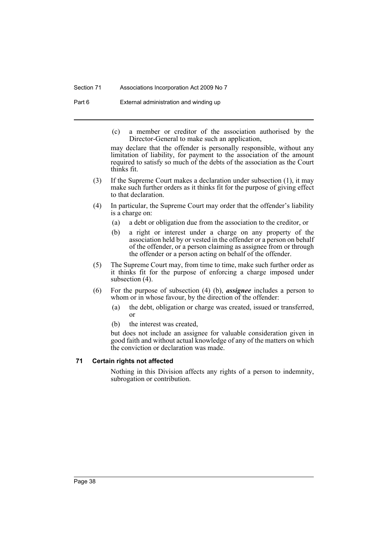#### Section 71 Associations Incorporation Act 2009 No 7

Part 6 External administration and winding up

(c) a member or creditor of the association authorised by the Director-General to make such an application,

may declare that the offender is personally responsible, without any limitation of liability, for payment to the association of the amount required to satisfy so much of the debts of the association as the Court thinks fit.

- (3) If the Supreme Court makes a declaration under subsection (1), it may make such further orders as it thinks fit for the purpose of giving effect to that declaration.
- (4) In particular, the Supreme Court may order that the offender's liability is a charge on:
	- (a) a debt or obligation due from the association to the creditor, or
	- (b) a right or interest under a charge on any property of the association held by or vested in the offender or a person on behalf of the offender, or a person claiming as assignee from or through the offender or a person acting on behalf of the offender.
- (5) The Supreme Court may, from time to time, make such further order as it thinks fit for the purpose of enforcing a charge imposed under subsection (4).
- (6) For the purpose of subsection (4) (b), *assignee* includes a person to whom or in whose favour, by the direction of the offender:
	- (a) the debt, obligation or charge was created, issued or transferred, or
	- (b) the interest was created,

but does not include an assignee for valuable consideration given in good faith and without actual knowledge of any of the matters on which the conviction or declaration was made.

## **71 Certain rights not affected**

Nothing in this Division affects any rights of a person to indemnity, subrogation or contribution.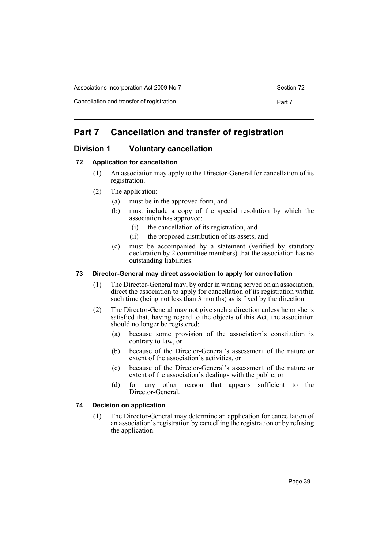Cancellation and transfer of registration **Part 7** Part 7

# **Part 7 Cancellation and transfer of registration**

# **Division 1 Voluntary cancellation**

## **72 Application for cancellation**

- (1) An association may apply to the Director-General for cancellation of its registration.
- (2) The application:
	- (a) must be in the approved form, and
	- (b) must include a copy of the special resolution by which the association has approved:
		- (i) the cancellation of its registration, and
		- (ii) the proposed distribution of its assets, and
	- (c) must be accompanied by a statement (verified by statutory declaration by 2 committee members) that the association has no outstanding liabilities.

## **73 Director-General may direct association to apply for cancellation**

- (1) The Director-General may, by order in writing served on an association, direct the association to apply for cancellation of its registration within such time (being not less than 3 months) as is fixed by the direction.
- (2) The Director-General may not give such a direction unless he or she is satisfied that, having regard to the objects of this Act, the association should no longer be registered:
	- (a) because some provision of the association's constitution is contrary to law, or
	- (b) because of the Director-General's assessment of the nature or extent of the association's activities, or
	- (c) because of the Director-General's assessment of the nature or extent of the association's dealings with the public, or
	- (d) for any other reason that appears sufficient to the Director-General.

## **74 Decision on application**

(1) The Director-General may determine an application for cancellation of an association's registration by cancelling the registration or by refusing the application.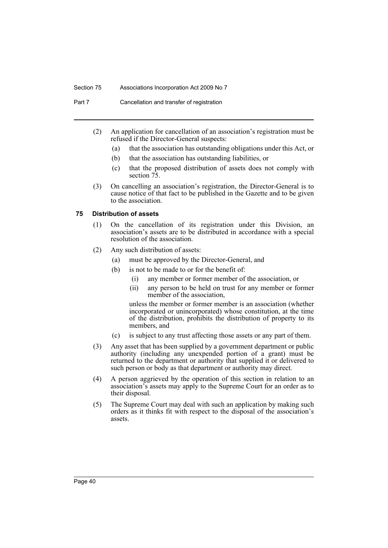#### Section 75 Associations Incorporation Act 2009 No 7

Part 7 Cancellation and transfer of registration

- (2) An application for cancellation of an association's registration must be refused if the Director-General suspects:
	- (a) that the association has outstanding obligations under this Act, or
	- (b) that the association has outstanding liabilities, or
	- (c) that the proposed distribution of assets does not comply with section 75.
- (3) On cancelling an association's registration, the Director-General is to cause notice of that fact to be published in the Gazette and to be given to the association.

#### **75 Distribution of assets**

- (1) On the cancellation of its registration under this Division, an association's assets are to be distributed in accordance with a special resolution of the association.
- (2) Any such distribution of assets:
	- (a) must be approved by the Director-General, and
	- (b) is not to be made to or for the benefit of:
		- (i) any member or former member of the association, or
		- (ii) any person to be held on trust for any member or former member of the association,

unless the member or former member is an association (whether incorporated or unincorporated) whose constitution, at the time of the distribution, prohibits the distribution of property to its members, and

- (c) is subject to any trust affecting those assets or any part of them.
- (3) Any asset that has been supplied by a government department or public authority (including any unexpended portion of a grant) must be returned to the department or authority that supplied it or delivered to such person or body as that department or authority may direct.
- (4) A person aggrieved by the operation of this section in relation to an association's assets may apply to the Supreme Court for an order as to their disposal.
- (5) The Supreme Court may deal with such an application by making such orders as it thinks fit with respect to the disposal of the association's assets.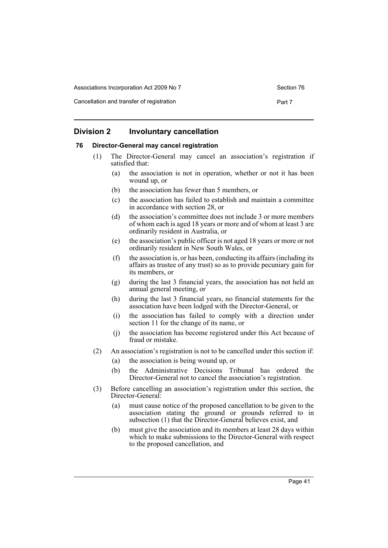Associations Incorporation Act 2009 No 7 Section 76

Cancellation and transfer of registration **Part 7** Part 7

# **Division 2 Involuntary cancellation**

#### **76 Director-General may cancel registration**

- (1) The Director-General may cancel an association's registration if satisfied that:
	- (a) the association is not in operation, whether or not it has been wound up, or
	- (b) the association has fewer than 5 members, or
	- (c) the association has failed to establish and maintain a committee in accordance with section 28, or
	- (d) the association's committee does not include 3 or more members of whom each is aged 18 years or more and of whom at least 3 are ordinarily resident in Australia, or
	- (e) the association's public officer is not aged 18 years or more or not ordinarily resident in New South Wales, or
	- (f) the association is, or has been, conducting its affairs (including its affairs as trustee of any trust) so as to provide pecuniary gain for its members, or
	- (g) during the last 3 financial years, the association has not held an annual general meeting, or
	- (h) during the last 3 financial years, no financial statements for the association have been lodged with the Director-General, or
	- (i) the association has failed to comply with a direction under section 11 for the change of its name, or
	- (j) the association has become registered under this Act because of fraud or mistake.
- (2) An association's registration is not to be cancelled under this section if:
	- (a) the association is being wound up, or
	- (b) the Administrative Decisions Tribunal has ordered the Director-General not to cancel the association's registration.
- (3) Before cancelling an association's registration under this section, the Director-General:
	- (a) must cause notice of the proposed cancellation to be given to the association stating the ground or grounds referred to in subsection (1) that the Director-General believes exist, and
	- (b) must give the association and its members at least 28 days within which to make submissions to the Director-General with respect to the proposed cancellation, and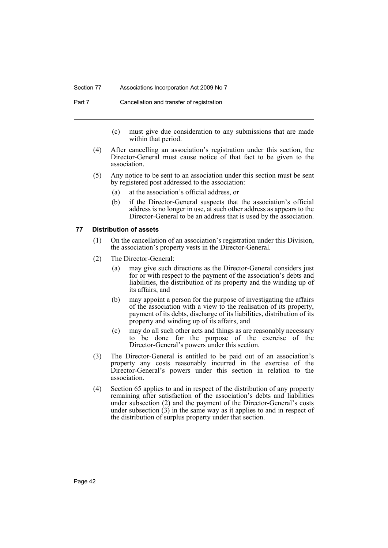#### Section 77 Associations Incorporation Act 2009 No 7

Part 7 Cancellation and transfer of registration

- (c) must give due consideration to any submissions that are made within that period.
- (4) After cancelling an association's registration under this section, the Director-General must cause notice of that fact to be given to the association.
- (5) Any notice to be sent to an association under this section must be sent by registered post addressed to the association:
	- (a) at the association's official address, or
	- (b) if the Director-General suspects that the association's official address is no longer in use, at such other address as appears to the Director-General to be an address that is used by the association.

#### **77 Distribution of assets**

- (1) On the cancellation of an association's registration under this Division, the association's property vests in the Director-General.
- (2) The Director-General:
	- (a) may give such directions as the Director-General considers just for or with respect to the payment of the association's debts and liabilities, the distribution of its property and the winding up of its affairs, and
	- (b) may appoint a person for the purpose of investigating the affairs of the association with a view to the realisation of its property, payment of its debts, discharge of its liabilities, distribution of its property and winding up of its affairs, and
	- (c) may do all such other acts and things as are reasonably necessary to be done for the purpose of the exercise of the Director-General's powers under this section.
- (3) The Director-General is entitled to be paid out of an association's property any costs reasonably incurred in the exercise of the Director-General's powers under this section in relation to the association.
- (4) Section 65 applies to and in respect of the distribution of any property remaining after satisfaction of the association's debts and liabilities under subsection (2) and the payment of the Director-General's costs under subsection  $(3)$  in the same way as it applies to and in respect of the distribution of surplus property under that section.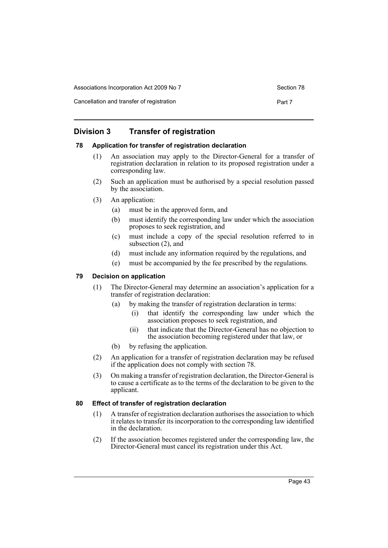| Associations Incorporation Act 2009 No 7  | Section 78 |
|-------------------------------------------|------------|
| Cancellation and transfer of registration | Part 7     |

# **Division 3 Transfer of registration**

## **78 Application for transfer of registration declaration**

- (1) An association may apply to the Director-General for a transfer of registration declaration in relation to its proposed registration under a corresponding law.
- (2) Such an application must be authorised by a special resolution passed by the association.
- (3) An application:
	- (a) must be in the approved form, and
	- (b) must identify the corresponding law under which the association proposes to seek registration, and
	- (c) must include a copy of the special resolution referred to in subsection (2), and
	- (d) must include any information required by the regulations, and
	- (e) must be accompanied by the fee prescribed by the regulations.

## **79 Decision on application**

- (1) The Director-General may determine an association's application for a transfer of registration declaration:
	- (a) by making the transfer of registration declaration in terms:
		- (i) that identify the corresponding law under which the association proposes to seek registration, and
		- (ii) that indicate that the Director-General has no objection to the association becoming registered under that law, or
	- (b) by refusing the application.
- (2) An application for a transfer of registration declaration may be refused if the application does not comply with section 78.
- (3) On making a transfer of registration declaration, the Director-General is to cause a certificate as to the terms of the declaration to be given to the applicant.

## **80 Effect of transfer of registration declaration**

- (1) A transfer of registration declaration authorises the association to which it relates to transfer its incorporation to the corresponding law identified in the declaration.
- (2) If the association becomes registered under the corresponding law, the Director-General must cancel its registration under this Act.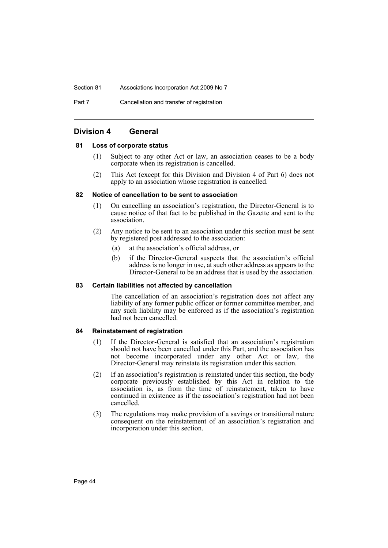Section 81 Associations Incorporation Act 2009 No 7

Part 7 Cancellation and transfer of registration

# **Division 4 General**

#### **81 Loss of corporate status**

- (1) Subject to any other Act or law, an association ceases to be a body corporate when its registration is cancelled.
- (2) This Act (except for this Division and Division 4 of Part 6) does not apply to an association whose registration is cancelled.

#### **82 Notice of cancellation to be sent to association**

- (1) On cancelling an association's registration, the Director-General is to cause notice of that fact to be published in the Gazette and sent to the association.
- (2) Any notice to be sent to an association under this section must be sent by registered post addressed to the association:
	- (a) at the association's official address, or
	- (b) if the Director-General suspects that the association's official address is no longer in use, at such other address as appears to the Director-General to be an address that is used by the association.

#### **83 Certain liabilities not affected by cancellation**

The cancellation of an association's registration does not affect any liability of any former public officer or former committee member, and any such liability may be enforced as if the association's registration had not been cancelled.

#### **84 Reinstatement of registration**

- (1) If the Director-General is satisfied that an association's registration should not have been cancelled under this Part, and the association has not become incorporated under any other Act or law, the Director-General may reinstate its registration under this section.
- (2) If an association's registration is reinstated under this section, the body corporate previously established by this Act in relation to the association is, as from the time of reinstatement, taken to have continued in existence as if the association's registration had not been cancelled.
- (3) The regulations may make provision of a savings or transitional nature consequent on the reinstatement of an association's registration and incorporation under this section.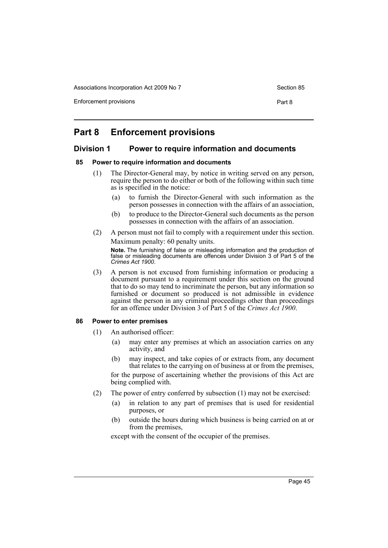Associations Incorporation Act 2009 No 7 Section 85

Enforcement provisions **Part 8** 

# **Part 8 Enforcement provisions**

# **Division 1 Power to require information and documents**

#### **85 Power to require information and documents**

- (1) The Director-General may, by notice in writing served on any person, require the person to do either or both of the following within such time as is specified in the notice:
	- (a) to furnish the Director-General with such information as the person possesses in connection with the affairs of an association,
	- (b) to produce to the Director-General such documents as the person possesses in connection with the affairs of an association.
- (2) A person must not fail to comply with a requirement under this section. Maximum penalty: 60 penalty units.

**Note.** The furnishing of false or misleading information and the production of false or misleading documents are offences under Division 3 of Part 5 of the *Crimes Act 1900*.

(3) A person is not excused from furnishing information or producing a document pursuant to a requirement under this section on the ground that to do so may tend to incriminate the person, but any information so furnished or document so produced is not admissible in evidence against the person in any criminal proceedings other than proceedings for an offence under Division 3 of Part 5 of the *Crimes Act 1900*.

#### **86 Power to enter premises**

- (1) An authorised officer:
	- (a) may enter any premises at which an association carries on any activity, and
	- (b) may inspect, and take copies of or extracts from, any document that relates to the carrying on of business at or from the premises,

for the purpose of ascertaining whether the provisions of this Act are being complied with.

- (2) The power of entry conferred by subsection (1) may not be exercised:
	- (a) in relation to any part of premises that is used for residential purposes, or
	- (b) outside the hours during which business is being carried on at or from the premises,

except with the consent of the occupier of the premises.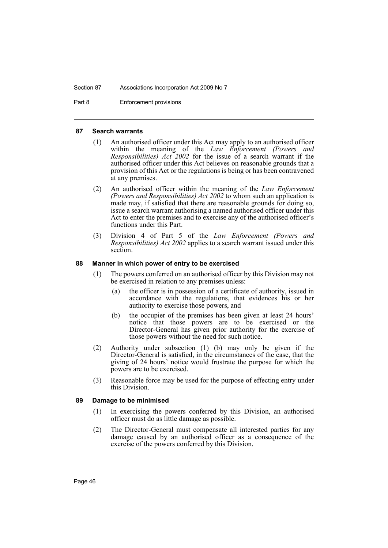#### Section 87 Associations Incorporation Act 2009 No 7

Part 8 Enforcement provisions

#### **87 Search warrants**

- (1) An authorised officer under this Act may apply to an authorised officer within the meaning of the *Law Enforcement (Powers and Responsibilities) Act* 2002 for the issue of a search warrant if the authorised officer under this Act believes on reasonable grounds that a provision of this Act or the regulations is being or has been contravened at any premises.
- (2) An authorised officer within the meaning of the *Law Enforcement (Powers and Responsibilities) Act 2002* to whom such an application is made may, if satisfied that there are reasonable grounds for doing so, issue a search warrant authorising a named authorised officer under this Act to enter the premises and to exercise any of the authorised officer's functions under this Part.
- (3) Division 4 of Part 5 of the *Law Enforcement (Powers and Responsibilities) Act 2002* applies to a search warrant issued under this section.

#### **88 Manner in which power of entry to be exercised**

- (1) The powers conferred on an authorised officer by this Division may not be exercised in relation to any premises unless:
	- (a) the officer is in possession of a certificate of authority, issued in accordance with the regulations, that evidences his or her authority to exercise those powers, and
	- (b) the occupier of the premises has been given at least 24 hours' notice that those powers are to be exercised or the Director-General has given prior authority for the exercise of those powers without the need for such notice.
- (2) Authority under subsection (1) (b) may only be given if the Director-General is satisfied, in the circumstances of the case, that the giving of 24 hours' notice would frustrate the purpose for which the powers are to be exercised.
- (3) Reasonable force may be used for the purpose of effecting entry under this Division.

## **89 Damage to be minimised**

- (1) In exercising the powers conferred by this Division, an authorised officer must do as little damage as possible.
- (2) The Director-General must compensate all interested parties for any damage caused by an authorised officer as a consequence of the exercise of the powers conferred by this Division.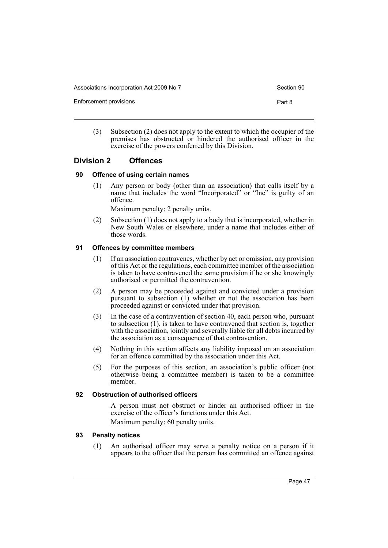Associations Incorporation Act 2009 No 7 Section 90

Enforcement provisions **Part 8** 

(3) Subsection (2) does not apply to the extent to which the occupier of the premises has obstructed or hindered the authorised officer in the exercise of the powers conferred by this Division.

## **Division 2 Offences**

#### **90 Offence of using certain names**

(1) Any person or body (other than an association) that calls itself by a name that includes the word "Incorporated" or "Inc" is guilty of an offence.

Maximum penalty: 2 penalty units.

(2) Subsection (1) does not apply to a body that is incorporated, whether in New South Wales or elsewhere, under a name that includes either of those words.

#### **91 Offences by committee members**

- (1) If an association contravenes, whether by act or omission, any provision of this Act or the regulations, each committee member of the association is taken to have contravened the same provision if he or she knowingly authorised or permitted the contravention.
- (2) A person may be proceeded against and convicted under a provision pursuant to subsection (1) whether or not the association has been proceeded against or convicted under that provision.
- (3) In the case of a contravention of section 40, each person who, pursuant to subsection (1), is taken to have contravened that section is, together with the association, jointly and severally liable for all debts incurred by the association as a consequence of that contravention.
- (4) Nothing in this section affects any liability imposed on an association for an offence committed by the association under this Act.
- (5) For the purposes of this section, an association's public officer (not otherwise being a committee member) is taken to be a committee member.

#### **92 Obstruction of authorised officers**

A person must not obstruct or hinder an authorised officer in the exercise of the officer's functions under this Act. Maximum penalty: 60 penalty units.

#### **93 Penalty notices**

(1) An authorised officer may serve a penalty notice on a person if it appears to the officer that the person has committed an offence against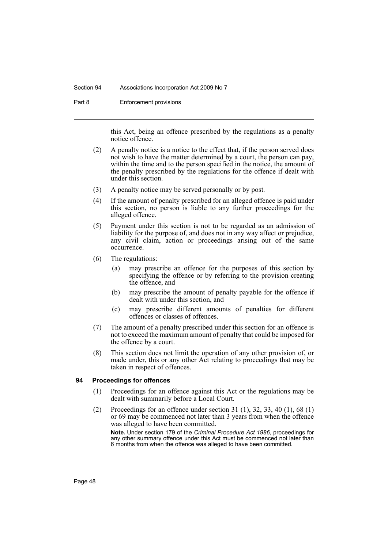#### Section 94 Associations Incorporation Act 2009 No 7

Part 8 Enforcement provisions

this Act, being an offence prescribed by the regulations as a penalty notice offence.

- (2) A penalty notice is a notice to the effect that, if the person served does not wish to have the matter determined by a court, the person can pay, within the time and to the person specified in the notice, the amount of the penalty prescribed by the regulations for the offence if dealt with under this section.
- (3) A penalty notice may be served personally or by post.
- (4) If the amount of penalty prescribed for an alleged offence is paid under this section, no person is liable to any further proceedings for the alleged offence.
- (5) Payment under this section is not to be regarded as an admission of liability for the purpose of, and does not in any way affect or prejudice, any civil claim, action or proceedings arising out of the same occurrence.
- (6) The regulations:
	- (a) may prescribe an offence for the purposes of this section by specifying the offence or by referring to the provision creating the offence, and
	- (b) may prescribe the amount of penalty payable for the offence if dealt with under this section, and
	- (c) may prescribe different amounts of penalties for different offences or classes of offences.
- (7) The amount of a penalty prescribed under this section for an offence is not to exceed the maximum amount of penalty that could be imposed for the offence by a court.
- (8) This section does not limit the operation of any other provision of, or made under, this or any other Act relating to proceedings that may be taken in respect of offences.

#### **94 Proceedings for offences**

- (1) Proceedings for an offence against this Act or the regulations may be dealt with summarily before a Local Court.
- (2) Proceedings for an offence under section 31 (1), 32, 33, 40 (1), 68 (1) or 69 may be commenced not later than 3 years from when the offence was alleged to have been committed.

**Note.** Under section 179 of the *Criminal Procedure Act 1986*, proceedings for any other summary offence under this Act must be commenced not later than 6 months from when the offence was alleged to have been committed.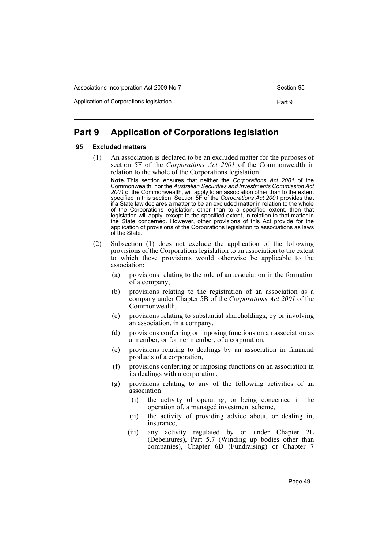Application of Corporations legislation **Part 9** Part 9

# **Part 9 Application of Corporations legislation**

#### **95 Excluded matters**

(1) An association is declared to be an excluded matter for the purposes of section 5F of the *Corporations Act 2001* of the Commonwealth in relation to the whole of the Corporations legislation.

**Note.** This section ensures that neither the *Corporations Act 2001* of the Commonwealth, nor the *Australian Securities and Investments Commission Act 2001* of the Commonwealth, will apply to an association other than to the extent specified in this section. Section 5F of the *Corporations Act 2001* provides that if a State law declares a matter to be an excluded matter in relation to the whole of the Corporations legislation, other than to a specified extent, then that legislation will apply, except to the specified extent, in relation to that matter in the State concerned. However, other provisions of this Act provide for the application of provisions of the Corporations legislation to associations as laws of the State.

- (2) Subsection (1) does not exclude the application of the following provisions of the Corporations legislation to an association to the extent to which those provisions would otherwise be applicable to the association:
	- (a) provisions relating to the role of an association in the formation of a company,
	- (b) provisions relating to the registration of an association as a company under Chapter 5B of the *Corporations Act 2001* of the Commonwealth,
	- (c) provisions relating to substantial shareholdings, by or involving an association, in a company,
	- (d) provisions conferring or imposing functions on an association as a member, or former member, of a corporation,
	- (e) provisions relating to dealings by an association in financial products of a corporation,
	- (f) provisions conferring or imposing functions on an association in its dealings with a corporation,
	- (g) provisions relating to any of the following activities of an association:
		- (i) the activity of operating, or being concerned in the operation of, a managed investment scheme,
		- (ii) the activity of providing advice about, or dealing in, insurance,
		- (iii) any activity regulated by or under Chapter 2L (Debentures), Part 5.7 (Winding up bodies other than companies), Chapter 6D (Fundraising) or Chapter 7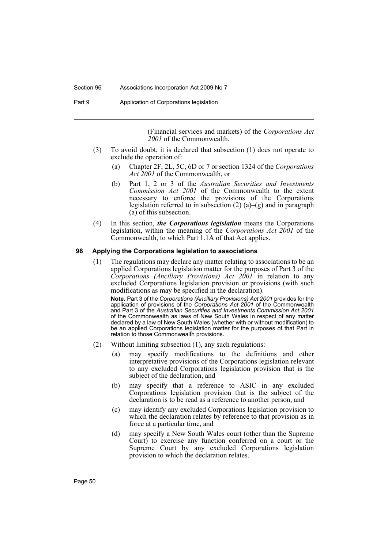#### Section 96 Associations Incorporation Act 2009 No 7

Part 9 **Application of Corporations legislation** 

(Financial services and markets) of the *Corporations Act 2001* of the Commonwealth.

- (3) To avoid doubt, it is declared that subsection (1) does not operate to exclude the operation of:
	- (a) Chapter 2F, 2L, 5C, 6D or 7 or section 1324 of the *Corporations Act 2001* of the Commonwealth, or
	- (b) Part 1, 2 or 3 of the *Australian Securities and Investments Commission Act 2001* of the Commonwealth to the extent necessary to enforce the provisions of the Corporations legislation referred to in subsection  $(2)$   $(a)$ – $(g)$  and in paragraph (a) of this subsection.
- (4) In this section, *the Corporations legislation* means the Corporations legislation, within the meaning of the *Corporations Act 2001* of the Commonwealth, to which Part 1.1A of that Act applies.

#### **96 Applying the Corporations legislation to associations**

(1) The regulations may declare any matter relating to associations to be an applied Corporations legislation matter for the purposes of Part 3 of the *Corporations (Ancillary Provisions) Act 2001* in relation to any excluded Corporations legislation provision or provisions (with such modifications as may be specified in the declaration).

**Note.** Part 3 of the *Corporations (Ancillary Provisions) Act 2001* provides for the application of provisions of the *Corporations Act 2001* of the Commonwealth and Part 3 of the *Australian Securities and Investments Commission Act 2001* of the Commonwealth as laws of New South Wales in respect of any matter declared by a law of New South Wales (whether with or without modification) to be an applied Corporations legislation matter for the purposes of that Part in relation to those Commonwealth provisions.

- (2) Without limiting subsection (1), any such regulations:
	- (a) may specify modifications to the definitions and other interpretative provisions of the Corporations legislation relevant to any excluded Corporations legislation provision that is the subject of the declaration, and
	- (b) may specify that a reference to ASIC in any excluded Corporations legislation provision that is the subject of the declaration is to be read as a reference to another person, and
	- (c) may identify any excluded Corporations legislation provision to which the declaration relates by reference to that provision as in force at a particular time, and
	- (d) may specify a New South Wales court (other than the Supreme Court) to exercise any function conferred on a court or the Supreme Court by any excluded Corporations legislation provision to which the declaration relates.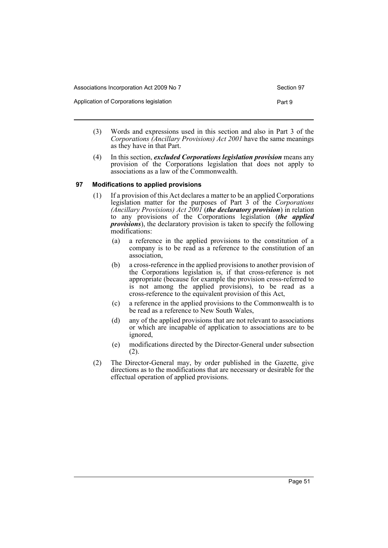Application of Corporations legislation **Part 9** Part 9

- (3) Words and expressions used in this section and also in Part 3 of the *Corporations (Ancillary Provisions) Act 2001* have the same meanings as they have in that Part.
- (4) In this section, *excluded Corporations legislation provision* means any provision of the Corporations legislation that does not apply to associations as a law of the Commonwealth.

#### **97 Modifications to applied provisions**

- (1) If a provision of this Act declares a matter to be an applied Corporations legislation matter for the purposes of Part 3 of the *Corporations (Ancillary Provisions) Act 2001* (*the declaratory provision*) in relation to any provisions of the Corporations legislation (*the applied provisions*), the declaratory provision is taken to specify the following modifications:
	- (a) a reference in the applied provisions to the constitution of a company is to be read as a reference to the constitution of an association,
	- (b) a cross-reference in the applied provisions to another provision of the Corporations legislation is, if that cross-reference is not appropriate (because for example the provision cross-referred to is not among the applied provisions), to be read as a cross-reference to the equivalent provision of this Act,
	- (c) a reference in the applied provisions to the Commonwealth is to be read as a reference to New South Wales,
	- (d) any of the applied provisions that are not relevant to associations or which are incapable of application to associations are to be ignored,
	- (e) modifications directed by the Director-General under subsection (2).
- (2) The Director-General may, by order published in the Gazette, give directions as to the modifications that are necessary or desirable for the effectual operation of applied provisions.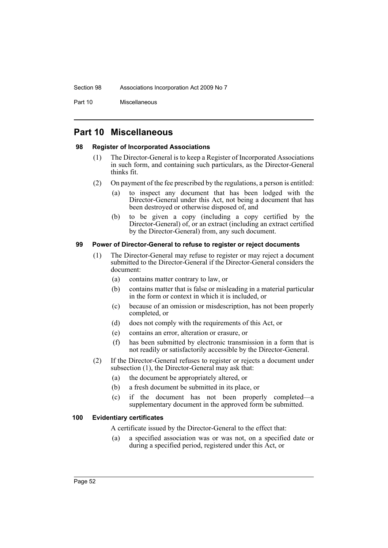#### Section 98 Associations Incorporation Act 2009 No 7

Part 10 Miscellaneous

# **Part 10 Miscellaneous**

#### **98 Register of Incorporated Associations**

- (1) The Director-General is to keep a Register of Incorporated Associations in such form, and containing such particulars, as the Director-General thinks fit.
- (2) On payment of the fee prescribed by the regulations, a person is entitled:
	- (a) to inspect any document that has been lodged with the Director-General under this Act, not being a document that has been destroyed or otherwise disposed of, and
	- (b) to be given a copy (including a copy certified by the Director-General) of, or an extract (including an extract certified by the Director-General) from, any such document.

#### **99 Power of Director-General to refuse to register or reject documents**

- (1) The Director-General may refuse to register or may reject a document submitted to the Director-General if the Director-General considers the document:
	- (a) contains matter contrary to law, or
	- (b) contains matter that is false or misleading in a material particular in the form or context in which it is included, or
	- (c) because of an omission or misdescription, has not been properly completed, or
	- (d) does not comply with the requirements of this Act, or
	- (e) contains an error, alteration or erasure, or
	- (f) has been submitted by electronic transmission in a form that is not readily or satisfactorily accessible by the Director-General.
- (2) If the Director-General refuses to register or rejects a document under subsection (1), the Director-General may ask that:
	- (a) the document be appropriately altered, or
	- (b) a fresh document be submitted in its place, or
	- (c) if the document has not been properly completed—a supplementary document in the approved form be submitted.

#### **100 Evidentiary certificates**

A certificate issued by the Director-General to the effect that:

(a) a specified association was or was not, on a specified date or during a specified period, registered under this Act, or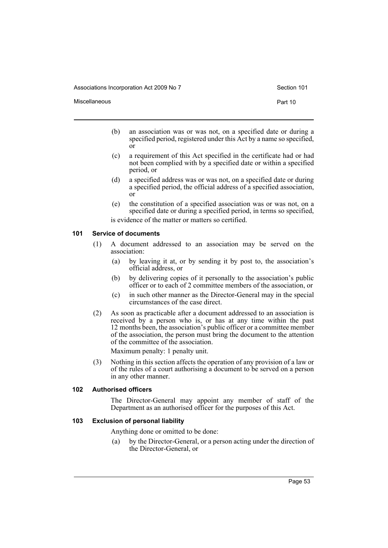Associations Incorporation Act 2009 No 7 Section 101

Miscellaneous **Part 10** 

- (b) an association was or was not, on a specified date or during a specified period, registered under this Act by a name so specified, or
- (c) a requirement of this Act specified in the certificate had or had not been complied with by a specified date or within a specified period, or
- (d) a specified address was or was not, on a specified date or during a specified period, the official address of a specified association, or
- (e) the constitution of a specified association was or was not, on a specified date or during a specified period, in terms so specified, is evidence of the matter or matters so certified.

#### **101 Service of documents**

- (1) A document addressed to an association may be served on the association:
	- (a) by leaving it at, or by sending it by post to, the association's official address, or
	- (b) by delivering copies of it personally to the association's public officer or to each of 2 committee members of the association, or
	- (c) in such other manner as the Director-General may in the special circumstances of the case direct.
- (2) As soon as practicable after a document addressed to an association is received by a person who is, or has at any time within the past 12 months been, the association's public officer or a committee member of the association, the person must bring the document to the attention of the committee of the association.

Maximum penalty: 1 penalty unit.

(3) Nothing in this section affects the operation of any provision of a law or of the rules of a court authorising a document to be served on a person in any other manner.

#### **102 Authorised officers**

The Director-General may appoint any member of staff of the Department as an authorised officer for the purposes of this Act.

## **103 Exclusion of personal liability**

Anything done or omitted to be done:

(a) by the Director-General, or a person acting under the direction of the Director-General, or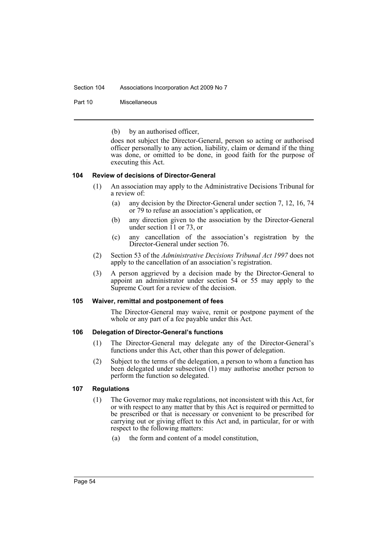#### Section 104 Associations Incorporation Act 2009 No 7

Part 10 Miscellaneous

(b) by an authorised officer,

does not subject the Director-General, person so acting or authorised officer personally to any action, liability, claim or demand if the thing was done, or omitted to be done, in good faith for the purpose of executing this Act.

#### **104 Review of decisions of Director-General**

- (1) An association may apply to the Administrative Decisions Tribunal for a review of:
	- (a) any decision by the Director-General under section 7, 12, 16, 74 or 79 to refuse an association's application, or
	- (b) any direction given to the association by the Director-General under section  $\overline{11}$  or 73, or
	- (c) any cancellation of the association's registration by the Director-General under section 76.
- (2) Section 53 of the *Administrative Decisions Tribunal Act 1997* does not apply to the cancellation of an association's registration.
- (3) A person aggrieved by a decision made by the Director-General to appoint an administrator under section 54 or 55 may apply to the Supreme Court for a review of the decision.

#### **105 Waiver, remittal and postponement of fees**

The Director-General may waive, remit or postpone payment of the whole or any part of a fee payable under this Act.

#### **106 Delegation of Director-General's functions**

- (1) The Director-General may delegate any of the Director-General's functions under this Act, other than this power of delegation.
- (2) Subject to the terms of the delegation, a person to whom a function has been delegated under subsection (1) may authorise another person to perform the function so delegated.

#### **107 Regulations**

- (1) The Governor may make regulations, not inconsistent with this Act, for or with respect to any matter that by this Act is required or permitted to be prescribed or that is necessary or convenient to be prescribed for carrying out or giving effect to this Act and, in particular, for or with respect to the following matters:
	- (a) the form and content of a model constitution,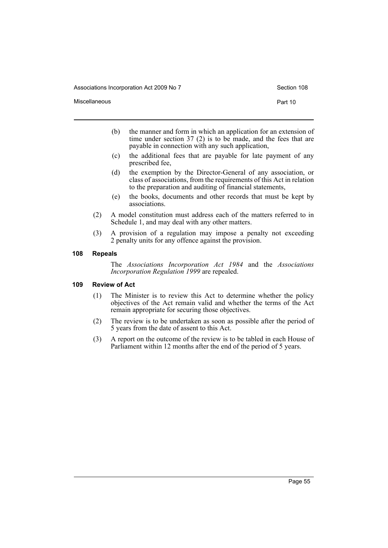Associations Incorporation Act 2009 No 7 Section 108

Miscellaneous **Part 10** 

- (b) the manner and form in which an application for an extension of time under section 37 (2) is to be made, and the fees that are payable in connection with any such application,
- (c) the additional fees that are payable for late payment of any prescribed fee,
- (d) the exemption by the Director-General of any association, or class of associations, from the requirements of this Act in relation to the preparation and auditing of financial statements,
- (e) the books, documents and other records that must be kept by associations.
- (2) A model constitution must address each of the matters referred to in Schedule 1, and may deal with any other matters.
- (3) A provision of a regulation may impose a penalty not exceeding 2 penalty units for any offence against the provision.

#### **108 Repeals**

The *Associations Incorporation Act 1984* and the *Associations Incorporation Regulation 1999* are repealed.

#### **109 Review of Act**

- (1) The Minister is to review this Act to determine whether the policy objectives of the Act remain valid and whether the terms of the Act remain appropriate for securing those objectives.
- (2) The review is to be undertaken as soon as possible after the period of 5 years from the date of assent to this Act.
- (3) A report on the outcome of the review is to be tabled in each House of Parliament within 12 months after the end of the period of 5 years.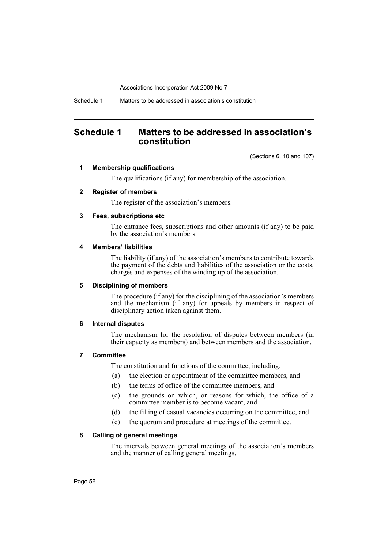Schedule 1 Matters to be addressed in association's constitution

# **Schedule 1 Matters to be addressed in association's constitution**

(Sections 6, 10 and 107)

#### **1 Membership qualifications**

The qualifications (if any) for membership of the association.

#### **2 Register of members**

The register of the association's members.

#### **3 Fees, subscriptions etc**

The entrance fees, subscriptions and other amounts (if any) to be paid by the association's members.

#### **4 Members' liabilities**

The liability (if any) of the association's members to contribute towards the payment of the debts and liabilities of the association or the costs, charges and expenses of the winding up of the association.

#### **5 Disciplining of members**

The procedure (if any) for the disciplining of the association's members and the mechanism (if any) for appeals by members in respect of disciplinary action taken against them.

#### **6 Internal disputes**

The mechanism for the resolution of disputes between members (in their capacity as members) and between members and the association.

# **7 Committee**

The constitution and functions of the committee, including:

- (a) the election or appointment of the committee members, and
- (b) the terms of office of the committee members, and
- (c) the grounds on which, or reasons for which, the office of a committee member is to become vacant, and
- (d) the filling of casual vacancies occurring on the committee, and
- (e) the quorum and procedure at meetings of the committee.

## **8 Calling of general meetings**

The intervals between general meetings of the association's members and the manner of calling general meetings.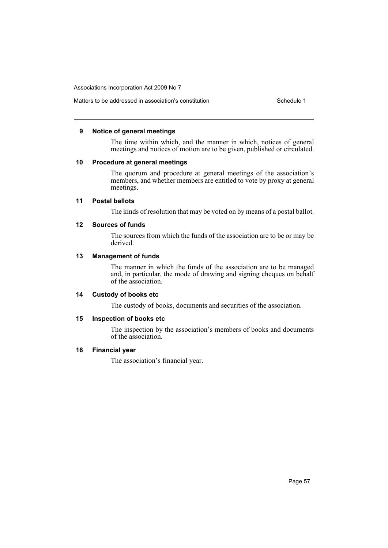# Matters to be addressed in association's constitution Schedule 1

#### **9 Notice of general meetings**

The time within which, and the manner in which, notices of general meetings and notices of motion are to be given, published or circulated.

#### **10 Procedure at general meetings**

The quorum and procedure at general meetings of the association's members, and whether members are entitled to vote by proxy at general meetings.

#### **11 Postal ballots**

The kinds of resolution that may be voted on by means of a postal ballot.

#### **12 Sources of funds**

The sources from which the funds of the association are to be or may be derived.

#### **13 Management of funds**

The manner in which the funds of the association are to be managed and, in particular, the mode of drawing and signing cheques on behalf of the association.

## **14 Custody of books etc**

The custody of books, documents and securities of the association.

# **15 Inspection of books etc**

The inspection by the association's members of books and documents of the association.

## **16 Financial year**

The association's financial year.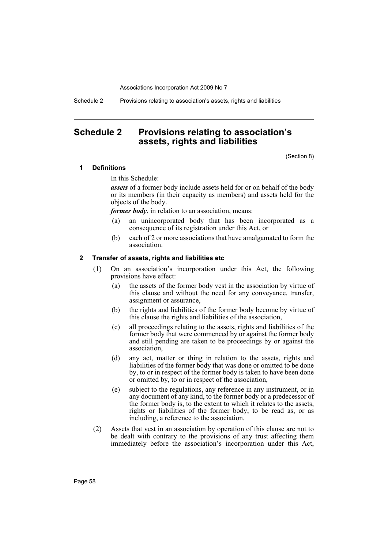Schedule 2 Provisions relating to association's assets, rights and liabilities

# **Schedule 2 Provisions relating to association's assets, rights and liabilities**

(Section 8)

#### **1 Definitions**

In this Schedule:

*assets* of a former body include assets held for or on behalf of the body or its members (in their capacity as members) and assets held for the objects of the body.

*former body*, in relation to an association, means:

- (a) an unincorporated body that has been incorporated as a consequence of its registration under this Act, or
- (b) each of 2 or more associations that have amalgamated to form the association.

## **2 Transfer of assets, rights and liabilities etc**

- (1) On an association's incorporation under this Act, the following provisions have effect:
	- (a) the assets of the former body vest in the association by virtue of this clause and without the need for any conveyance, transfer, assignment or assurance,
	- (b) the rights and liabilities of the former body become by virtue of this clause the rights and liabilities of the association,
	- (c) all proceedings relating to the assets, rights and liabilities of the former body that were commenced by or against the former body and still pending are taken to be proceedings by or against the association,
	- (d) any act, matter or thing in relation to the assets, rights and liabilities of the former body that was done or omitted to be done by, to or in respect of the former body is taken to have been done or omitted by, to or in respect of the association,
	- (e) subject to the regulations, any reference in any instrument, or in any document of any kind, to the former body or a predecessor of the former body is, to the extent to which it relates to the assets, rights or liabilities of the former body, to be read as, or as including, a reference to the association.
- (2) Assets that vest in an association by operation of this clause are not to be dealt with contrary to the provisions of any trust affecting them immediately before the association's incorporation under this Act,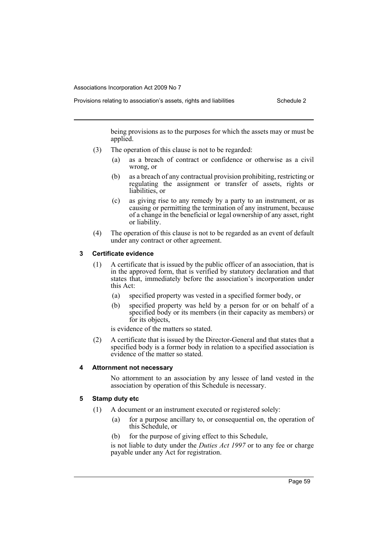Provisions relating to association's assets, rights and liabilities Schedule 2

being provisions as to the purposes for which the assets may or must be applied.

- (3) The operation of this clause is not to be regarded:
	- (a) as a breach of contract or confidence or otherwise as a civil wrong, or
	- (b) as a breach of any contractual provision prohibiting, restricting or regulating the assignment or transfer of assets, rights or liabilities, or
	- (c) as giving rise to any remedy by a party to an instrument, or as causing or permitting the termination of any instrument, because of a change in the beneficial or legal ownership of any asset, right or liability.
- (4) The operation of this clause is not to be regarded as an event of default under any contract or other agreement.

#### **3 Certificate evidence**

- (1) A certificate that is issued by the public officer of an association, that is in the approved form, that is verified by statutory declaration and that states that, immediately before the association's incorporation under this Act:
	- (a) specified property was vested in a specified former body, or
	- (b) specified property was held by a person for or on behalf of a specified body or its members (in their capacity as members) or for its objects,

is evidence of the matters so stated.

(2) A certificate that is issued by the Director-General and that states that a specified body is a former body in relation to a specified association is evidence of the matter so stated.

## **4 Attornment not necessary**

No attornment to an association by any lessee of land vested in the association by operation of this Schedule is necessary.

## **5 Stamp duty etc**

- (1) A document or an instrument executed or registered solely:
	- (a) for a purpose ancillary to, or consequential on, the operation of this Schedule, or
	- (b) for the purpose of giving effect to this Schedule,

is not liable to duty under the *Duties Act 1997* or to any fee or charge payable under any Act for registration.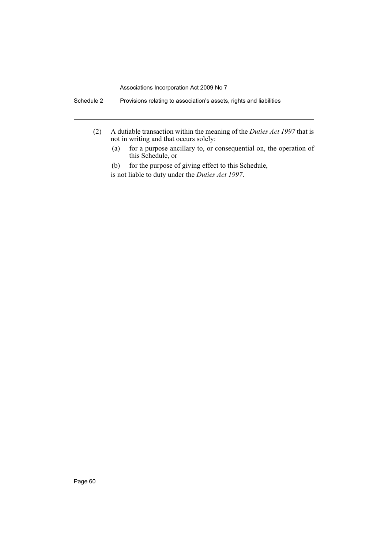- (2) A dutiable transaction within the meaning of the *Duties Act 1997* that is not in writing and that occurs solely:
	- (a) for a purpose ancillary to, or consequential on, the operation of this Schedule, or

(b) for the purpose of giving effect to this Schedule, is not liable to duty under the *Duties Act 1997*.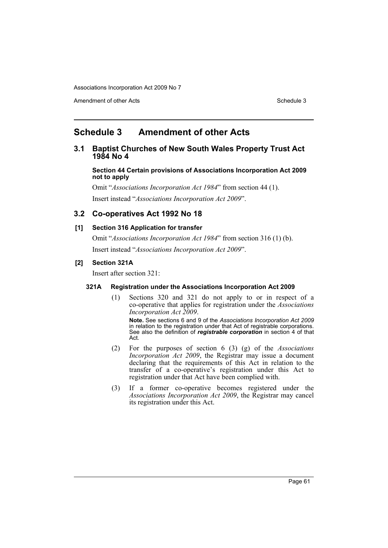Amendment of other Acts **Schedule 3** and the 3 set of the 3 set of the 3 set of the 3 set of the 3 set of the 3 set of the 3 set of the 3 set of the 3 set of the 3 set of the 3 set of the 3 set of the 3 set of the 3 set of

# **Schedule 3 Amendment of other Acts**

# **3.1 Baptist Churches of New South Wales Property Trust Act 1984 No 4**

**Section 44 Certain provisions of Associations Incorporation Act 2009 not to apply**

Omit "*Associations Incorporation Act 1984*" from section 44 (1). Insert instead "*Associations Incorporation Act 2009*".

# **3.2 Co-operatives Act 1992 No 18**

## **[1] Section 316 Application for transfer**

Omit "*Associations Incorporation Act 1984*" from section 316 (1) (b). Insert instead "*Associations Incorporation Act 2009*".

## **[2] Section 321A**

Insert after section 321:

## **321A Registration under the Associations Incorporation Act 2009**

(1) Sections 320 and 321 do not apply to or in respect of a co-operative that applies for registration under the *Associations Incorporation Act 2009*.

**Note.** See sections 6 and 9 of the *Associations Incorporation Act 2009* in relation to the registration under that Act of registrable corporations. See also the definition of *registrable corporation* in section 4 of that Act.

- (2) For the purposes of section 6 (3) (g) of the *Associations Incorporation Act 2009*, the Registrar may issue a document declaring that the requirements of this Act in relation to the transfer of a co-operative's registration under this Act to registration under that Act have been complied with.
- (3) If a former co-operative becomes registered under the *Associations Incorporation Act 2009*, the Registrar may cancel its registration under this Act.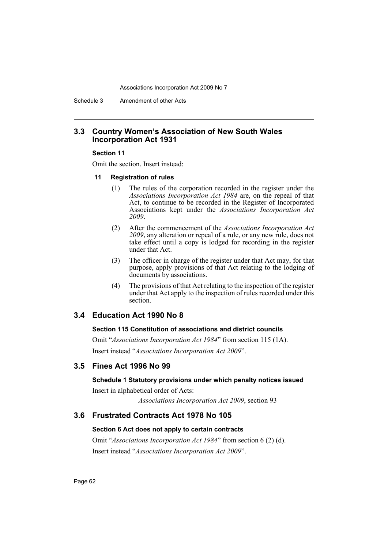Schedule 3 Amendment of other Acts

## **3.3 Country Women's Association of New South Wales Incorporation Act 1931**

#### **Section 11**

Omit the section. Insert instead:

#### **11 Registration of rules**

- (1) The rules of the corporation recorded in the register under the *Associations Incorporation Act 1984* are, on the repeal of that Act, to continue to be recorded in the Register of Incorporated Associations kept under the *Associations Incorporation Act 2009*.
- (2) After the commencement of the *Associations Incorporation Act 2009*, any alteration or repeal of a rule, or any new rule, does not take effect until a copy is lodged for recording in the register under that Act.
- (3) The officer in charge of the register under that Act may, for that purpose, apply provisions of that Act relating to the lodging of documents by associations.
- (4) The provisions of that Act relating to the inspection of the register under that Act apply to the inspection of rules recorded under this section.

# **3.4 Education Act 1990 No 8**

#### **Section 115 Constitution of associations and district councils**

Omit "*Associations Incorporation Act 1984*" from section 115 (1A). Insert instead "*Associations Incorporation Act 2009*".

# **3.5 Fines Act 1996 No 99**

## **Schedule 1 Statutory provisions under which penalty notices issued**

Insert in alphabetical order of Acts:

*Associations Incorporation Act 2009*, section 93

# **3.6 Frustrated Contracts Act 1978 No 105**

#### **Section 6 Act does not apply to certain contracts**

Omit "*Associations Incorporation Act 1984*" from section 6 (2) (d). Insert instead "*Associations Incorporation Act 2009*".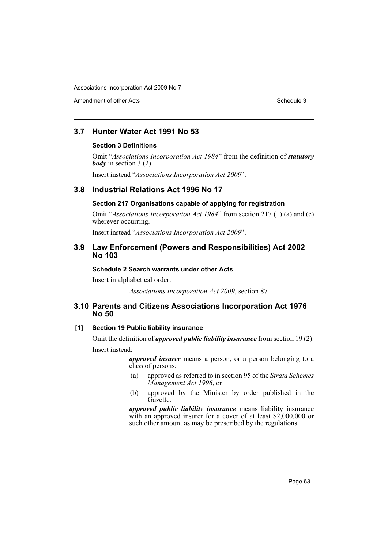Amendment of other Acts **Schedule 3** and the 3 sense of the 3 sense of the 3 sense of the 3 sense of the 3 sense of the 3 sense of the 3 sense of the 3 sense of the 3 sense of the 3 sense of the 3 sense of the 3 sense of t

# **3.7 Hunter Water Act 1991 No 53**

#### **Section 3 Definitions**

Omit "*Associations Incorporation Act 1984*" from the definition of *statutory body* in section 3 (2).

Insert instead "*Associations Incorporation Act 2009*".

# **3.8 Industrial Relations Act 1996 No 17**

## **Section 217 Organisations capable of applying for registration**

Omit "*Associations Incorporation Act 1984*" from section 217 (1) (a) and (c) wherever occurring.

Insert instead "*Associations Incorporation Act 2009*".

## **3.9 Law Enforcement (Powers and Responsibilities) Act 2002 No 103**

#### **Schedule 2 Search warrants under other Acts**

Insert in alphabetical order:

*Associations Incorporation Act 2009*, section 87

# **3.10 Parents and Citizens Associations Incorporation Act 1976 No 50**

## **[1] Section 19 Public liability insurance**

Omit the definition of *approved public liability insurance* from section 19 (2). Insert instead:

> *approved insurer* means a person, or a person belonging to a class of persons:

- (a) approved as referred to in section 95 of the *Strata Schemes Management Act 1996*, or
- (b) approved by the Minister by order published in the Gazette.

*approved public liability insurance* means liability insurance with an approved insurer for a cover of at least \$2,000,000 or such other amount as may be prescribed by the regulations.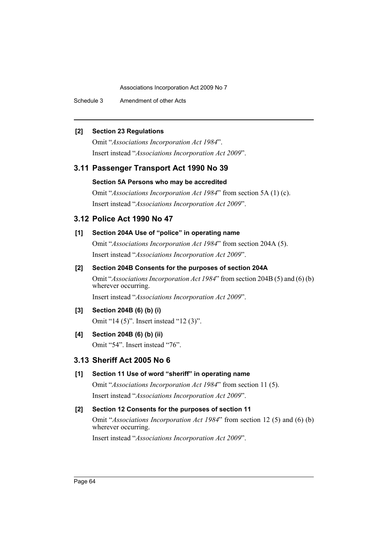Schedule 3 Amendment of other Acts

## **[2] Section 23 Regulations**

Omit "*Associations Incorporation Act 1984*". Insert instead "*Associations Incorporation Act 2009*".

# **3.11 Passenger Transport Act 1990 No 39**

# **Section 5A Persons who may be accredited**

Omit "*Associations Incorporation Act 1984*" from section 5A (1) (c). Insert instead "*Associations Incorporation Act 2009*".

# **3.12 Police Act 1990 No 47**

# **[1] Section 204A Use of "police" in operating name**

Omit "*Associations Incorporation Act 1984*" from section 204A (5). Insert instead "*Associations Incorporation Act 2009*".

## **[2] Section 204B Consents for the purposes of section 204A**

Omit "*Associations Incorporation Act 1984*" from section 204B (5) and (6) (b) wherever occurring. Insert instead "*Associations Incorporation Act 2009*".

## **[3] Section 204B (6) (b) (i)**

Omit "14 (5)". Insert instead "12 (3)".

## **[4] Section 204B (6) (b) (ii)**

Omit "54". Insert instead "76".

# **3.13 Sheriff Act 2005 No 6**

# **[1] Section 11 Use of word "sheriff" in operating name**

Omit "*Associations Incorporation Act 1984*" from section 11 (5). Insert instead "*Associations Incorporation Act 2009*".

# **[2] Section 12 Consents for the purposes of section 11**

Omit "*Associations Incorporation Act 1984*" from section 12 (5) and (6) (b) wherever occurring.

Insert instead "*Associations Incorporation Act 2009*".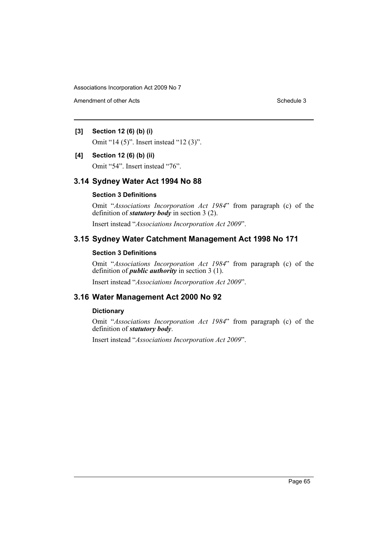Amendment of other Acts **Schedule 3** and the 3 set of the 3 set of the 3 set of the 3 set of the 3 set of the 3 set of the 3 set of the 3 set of the 3 set of the 3 set of the 3 set of the 3 set of the 3 set of the 3 set of

# **[3] Section 12 (6) (b) (i)**

Omit "14 (5)". Insert instead "12 (3)".

#### **[4] Section 12 (6) (b) (ii)**

Omit "54". Insert instead "76".

# **3.14 Sydney Water Act 1994 No 88**

#### **Section 3 Definitions**

Omit "*Associations Incorporation Act 1984*" from paragraph (c) of the definition of *statutory body* in section 3 (2).

Insert instead "*Associations Incorporation Act 2009*".

# **3.15 Sydney Water Catchment Management Act 1998 No 171**

## **Section 3 Definitions**

Omit "*Associations Incorporation Act 1984*" from paragraph (c) of the definition of *public authority* in section 3 (1).

Insert instead "*Associations Incorporation Act 2009*".

# **3.16 Water Management Act 2000 No 92**

## **Dictionary**

Omit "*Associations Incorporation Act 1984*" from paragraph (c) of the definition of *statutory body*.

Insert instead "*Associations Incorporation Act 2009*".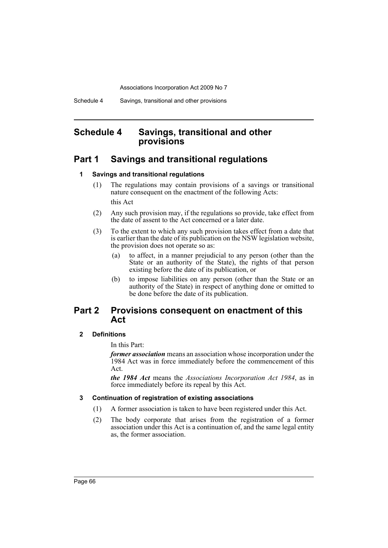# **Schedule 4 Savings, transitional and other provisions**

# **Part 1 Savings and transitional regulations**

#### **1 Savings and transitional regulations**

- (1) The regulations may contain provisions of a savings or transitional nature consequent on the enactment of the following Acts: this Act
- (2) Any such provision may, if the regulations so provide, take effect from the date of assent to the Act concerned or a later date.
- (3) To the extent to which any such provision takes effect from a date that is earlier than the date of its publication on the NSW legislation website, the provision does not operate so as:
	- (a) to affect, in a manner prejudicial to any person (other than the State or an authority of the State), the rights of that person existing before the date of its publication, or
	- (b) to impose liabilities on any person (other than the State or an authority of the State) in respect of anything done or omitted to be done before the date of its publication.

# **Part 2 Provisions consequent on enactment of this Act**

## **2 Definitions**

In this Part:

*former association* means an association whose incorporation under the 1984 Act was in force immediately before the commencement of this Act.

*the 1984 Act* means the *Associations Incorporation Act 1984*, as in force immediately before its repeal by this Act.

#### **3 Continuation of registration of existing associations**

- (1) A former association is taken to have been registered under this Act.
- (2) The body corporate that arises from the registration of a former association under this Act is a continuation of, and the same legal entity as, the former association.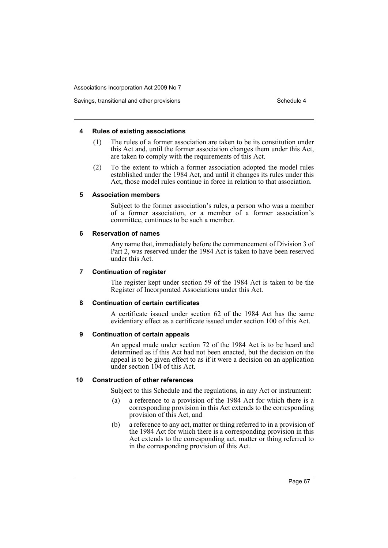#### Savings, transitional and other provisions Schedule 4 and the state of the Schedule 4

#### **4 Rules of existing associations**

- (1) The rules of a former association are taken to be its constitution under this Act and, until the former association changes them under this Act, are taken to comply with the requirements of this Act.
- (2) To the extent to which a former association adopted the model rules established under the 1984 Act, and until it changes its rules under this Act, those model rules continue in force in relation to that association.

#### **5 Association members**

Subject to the former association's rules, a person who was a member of a former association, or a member of a former association's committee, continues to be such a member.

#### **6 Reservation of names**

Any name that, immediately before the commencement of Division 3 of Part 2, was reserved under the 1984 Act is taken to have been reserved under this Act.

#### **7 Continuation of register**

The register kept under section 59 of the 1984 Act is taken to be the Register of Incorporated Associations under this Act.

#### **8 Continuation of certain certificates**

A certificate issued under section 62 of the 1984 Act has the same evidentiary effect as a certificate issued under section 100 of this Act.

#### **9 Continuation of certain appeals**

An appeal made under section 72 of the 1984 Act is to be heard and determined as if this Act had not been enacted, but the decision on the appeal is to be given effect to as if it were a decision on an application under section 104 of this Act.

#### **10 Construction of other references**

Subject to this Schedule and the regulations, in any Act or instrument:

- (a) a reference to a provision of the 1984 Act for which there is a corresponding provision in this Act extends to the corresponding provision of this Act, and
- (b) a reference to any act, matter or thing referred to in a provision of the 1984 Act for which there is a corresponding provision in this Act extends to the corresponding act, matter or thing referred to in the corresponding provision of this Act.